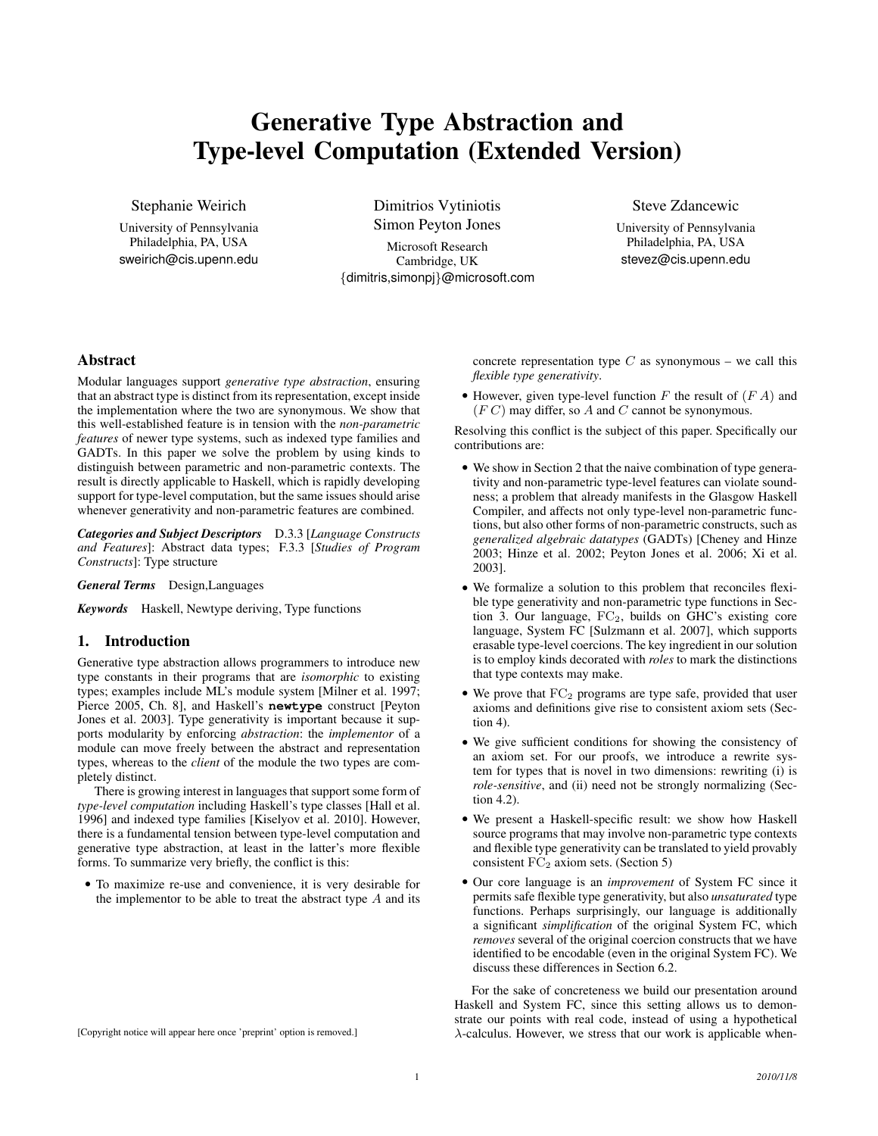# Generative Type Abstraction and Type-level Computation (Extended Version)

Stephanie Weirich

University of Pennsylvania Philadelphia, PA, USA sweirich@cis.upenn.edu

Dimitrios Vytiniotis Simon Peyton Jones Microsoft Research Cambridge, UK {dimitris,simonpj}@microsoft.com Steve Zdancewic

University of Pennsylvania Philadelphia, PA, USA stevez@cis.upenn.edu

# Abstract

Modular languages support *generative type abstraction*, ensuring that an abstract type is distinct from its representation, except inside the implementation where the two are synonymous. We show that this well-established feature is in tension with the *non-parametric features* of newer type systems, such as indexed type families and GADTs. In this paper we solve the problem by using kinds to distinguish between parametric and non-parametric contexts. The result is directly applicable to Haskell, which is rapidly developing support for type-level computation, but the same issues should arise whenever generativity and non-parametric features are combined.

*Categories and Subject Descriptors* D.3.3 [*Language Constructs and Features*]: Abstract data types; F.3.3 [*Studies of Program Constructs*]: Type structure

*General Terms* Design,Languages

*Keywords* Haskell, Newtype deriving, Type functions

# 1. Introduction

Generative type abstraction allows programmers to introduce new type constants in their programs that are *isomorphic* to existing types; examples include ML's module system [Milner et al. 1997; Pierce 2005, Ch. 8], and Haskell's **newtype** construct [Peyton Jones et al. 2003]. Type generativity is important because it supports modularity by enforcing *abstraction*: the *implementor* of a module can move freely between the abstract and representation types, whereas to the *client* of the module the two types are completely distinct.

There is growing interest in languages that support some form of *type-level computation* including Haskell's type classes [Hall et al. 1996] and indexed type families [Kiselyov et al. 2010]. However, there is a fundamental tension between type-level computation and generative type abstraction, at least in the latter's more flexible forms. To summarize very briefly, the conflict is this:

• To maximize re-use and convenience, it is very desirable for the implementor to be able to treat the abstract type  $A$  and its

[Copyright notice will appear here once 'preprint' option is removed.]

concrete representation type  $C$  as synonymous – we call this *flexible type generativity*.

• However, given type-level function  $F$  the result of  $(F \mid A)$  and  $(FC)$  may differ, so A and C cannot be synonymous.

Resolving this conflict is the subject of this paper. Specifically our contributions are:

- We show in Section 2 that the naive combination of type generativity and non-parametric type-level features can violate soundness; a problem that already manifests in the Glasgow Haskell Compiler, and affects not only type-level non-parametric functions, but also other forms of non-parametric constructs, such as *generalized algebraic datatypes* (GADTs) [Cheney and Hinze 2003; Hinze et al. 2002; Peyton Jones et al. 2006; Xi et al. 2003].
- We formalize a solution to this problem that reconciles flexible type generativity and non-parametric type functions in Section 3. Our language,  $FC_2$ , builds on GHC's existing core language, System FC [Sulzmann et al. 2007], which supports erasable type-level coercions. The key ingredient in our solution is to employ kinds decorated with *roles* to mark the distinctions that type contexts may make.
- $\bullet$  We prove that  $FC_2$  programs are type safe, provided that user axioms and definitions give rise to consistent axiom sets (Section 4).
- We give sufficient conditions for showing the consistency of an axiom set. For our proofs, we introduce a rewrite system for types that is novel in two dimensions: rewriting (i) is *role-sensitive*, and (ii) need not be strongly normalizing (Section 4.2).
- We present a Haskell-specific result: we show how Haskell source programs that may involve non-parametric type contexts and flexible type generativity can be translated to yield provably consistent  $FC<sub>2</sub>$  axiom sets. (Section 5)
- Our core language is an *improvement* of System FC since it permits safe flexible type generativity, but also *unsaturated* type functions. Perhaps surprisingly, our language is additionally a significant *simplification* of the original System FC, which *removes* several of the original coercion constructs that we have identified to be encodable (even in the original System FC). We discuss these differences in Section 6.2.

For the sake of concreteness we build our presentation around Haskell and System FC, since this setting allows us to demonstrate our points with real code, instead of using a hypothetical λ-calculus. However, we stress that our work is applicable when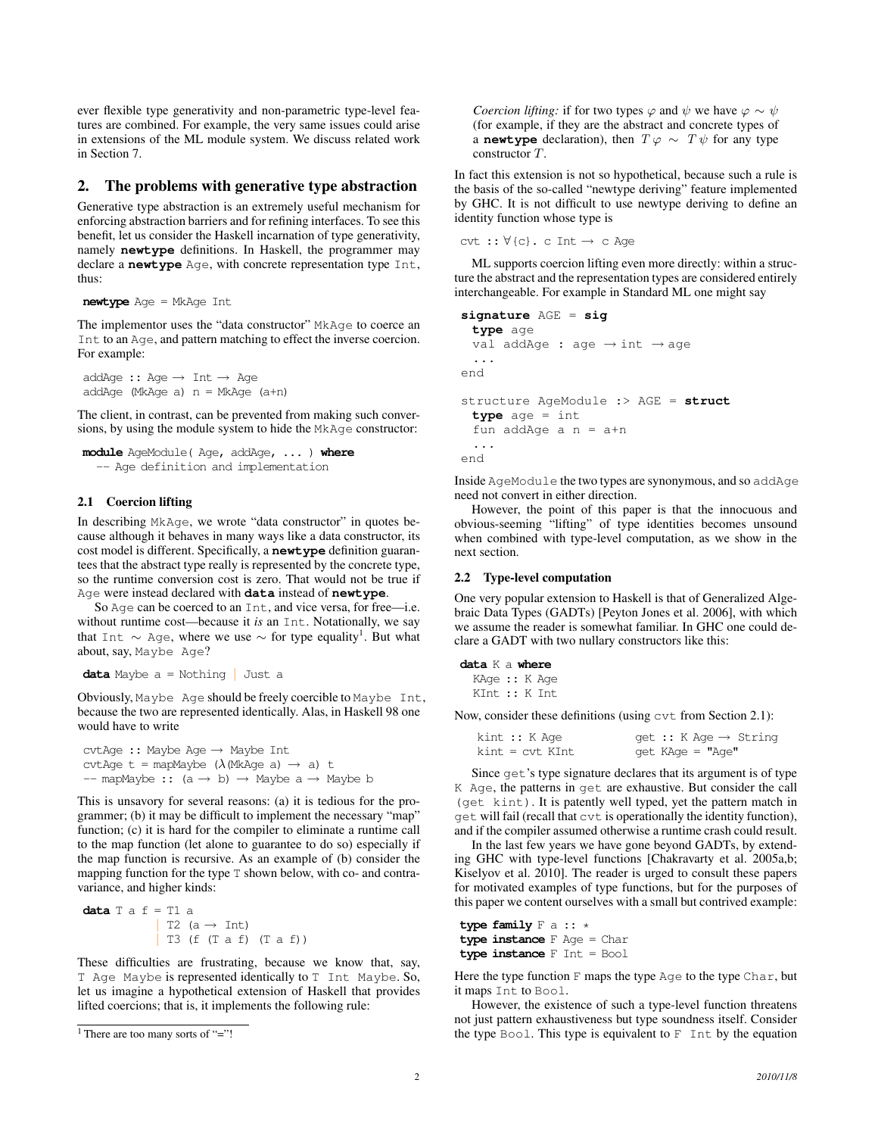ever flexible type generativity and non-parametric type-level features are combined. For example, the very same issues could arise in extensions of the ML module system. We discuss related work in Section 7.

### 2. The problems with generative type abstraction

Generative type abstraction is an extremely useful mechanism for enforcing abstraction barriers and for refining interfaces. To see this benefit, let us consider the Haskell incarnation of type generativity, namely **newtype** definitions. In Haskell, the programmer may declare a **newtype** Age, with concrete representation type Int, thus:

```
newtype Age = MkAge Int
```
The implementor uses the "data constructor" MkAge to coerce an Int to an Age, and pattern matching to effect the inverse coercion. For example:

```
addAge :: Age \rightarrow Int \rightarrow AgeaddAge (MkAge a) n = MkAge (a+n)
```
The client, in contrast, can be prevented from making such conversions, by using the module system to hide the MkAge constructor:

```
module AgeModule( Age, addAge, ... ) where
  -- Age definition and implementation
```
## 2.1 Coercion lifting

In describing MkAge, we wrote "data constructor" in quotes because although it behaves in many ways like a data constructor, its cost model is different. Specifically, a **newtype** definition guarantees that the abstract type really is represented by the concrete type, so the runtime conversion cost is zero. That would not be true if Age were instead declared with **data** instead of **newtype**.

So Age can be coerced to an Int, and vice versa, for free—i.e. without runtime cost—because it *is* an Int. Notationally, we say that Int  $\sim$  Age, where we use  $\sim$  for type equality<sup>1</sup>. But what about, say, Maybe Age?

```
data Maybe a = Nothing | Just a
```
Obviously, Maybe Age should be freely coercible to Maybe Int, because the two are represented identically. Alas, in Haskell 98 one would have to write

```
cvtAge :: Maybe Age → Maybe Int
cvtAge t = mapMaybe (\lambda (MkAge a) \rightarrow a) t
-- mapMaybe :: (a \rightarrow b) \rightarrow Maybe a \rightarrow Maybe b
```
This is unsavory for several reasons: (a) it is tedious for the programmer; (b) it may be difficult to implement the necessary "map" function; (c) it is hard for the compiler to eliminate a runtime call to the map function (let alone to guarantee to do so) especially if the map function is recursive. As an example of (b) consider the mapping function for the type T shown below, with co- and contravariance, and higher kinds:

```
data T a f = T1 aT2 (a \rightarrow Int)
               | T3 (f (T a f) (T a f))
```
These difficulties are frustrating, because we know that, say, T Age Maybe is represented identically to T Int Maybe. So, let us imagine a hypothetical extension of Haskell that provides lifted coercions; that is, it implements the following rule:

```
<sup>1</sup> There are too many sorts of "="!
```
*Coercion lifting:* if for two types  $\varphi$  and  $\psi$  we have  $\varphi \sim \psi$ (for example, if they are the abstract and concrete types of a **newtype** declaration), then  $T \varphi \sim T \psi$  for any type constructor T.

In fact this extension is not so hypothetical, because such a rule is the basis of the so-called "newtype deriving" feature implemented by GHC. It is not difficult to use newtype deriving to define an identity function whose type is

```
\text{cvt} ::\forall\{c\}. c Int \rightarrow c Age
```
ML supports coercion lifting even more directly: within a structure the abstract and the representation types are considered entirely interchangeable. For example in Standard ML one might say

```
signature AGE = sig
 type age
 val addAge : age → int → age
 ...
end
structure AgeModule :> AGE = struct
 type age = int
 fun addAge a n = a+n
 ...
end
```
Inside AgeModule the two types are synonymous, and so addAge need not convert in either direction.

However, the point of this paper is that the innocuous and obvious-seeming "lifting" of type identities becomes unsound when combined with type-level computation, as we show in the next section.

#### 2.2 Type-level computation

One very popular extension to Haskell is that of Generalized Algebraic Data Types (GADTs) [Peyton Jones et al. 2006], with which we assume the reader is somewhat familiar. In GHC one could declare a GADT with two nullary constructors like this:

# **data** K a **where**

```
KAge :: K Age
KInt :: K Int
```
Now, consider these definitions (using cvt from Section 2.1):

| kint :: K Aqe   | get :: K Age $\rightarrow$ String |
|-----------------|-----------------------------------|
| kint = cvt KInt | get KAge = "Age"                  |

Since get's type signature declares that its argument is of type K Age, the patterns in get are exhaustive. But consider the call (get kint). It is patently well typed, yet the pattern match in get will fail (recall that cvt is operationally the identity function), and if the compiler assumed otherwise a runtime crash could result.

In the last few years we have gone beyond GADTs, by extending GHC with type-level functions [Chakravarty et al. 2005a,b; Kiselyov et al. 2010]. The reader is urged to consult these papers for motivated examples of type functions, but for the purposes of this paper we content ourselves with a small but contrived example:

```
type family F a :: *
type instance F Age = Char
type instance F Int = Bool
```
Here the type function  $F$  maps the type  $Age$  to the type  $Char$ , but it maps Int to Bool.

However, the existence of such a type-level function threatens not just pattern exhaustiveness but type soundness itself. Consider the type Bool. This type is equivalent to  $F$  Int by the equation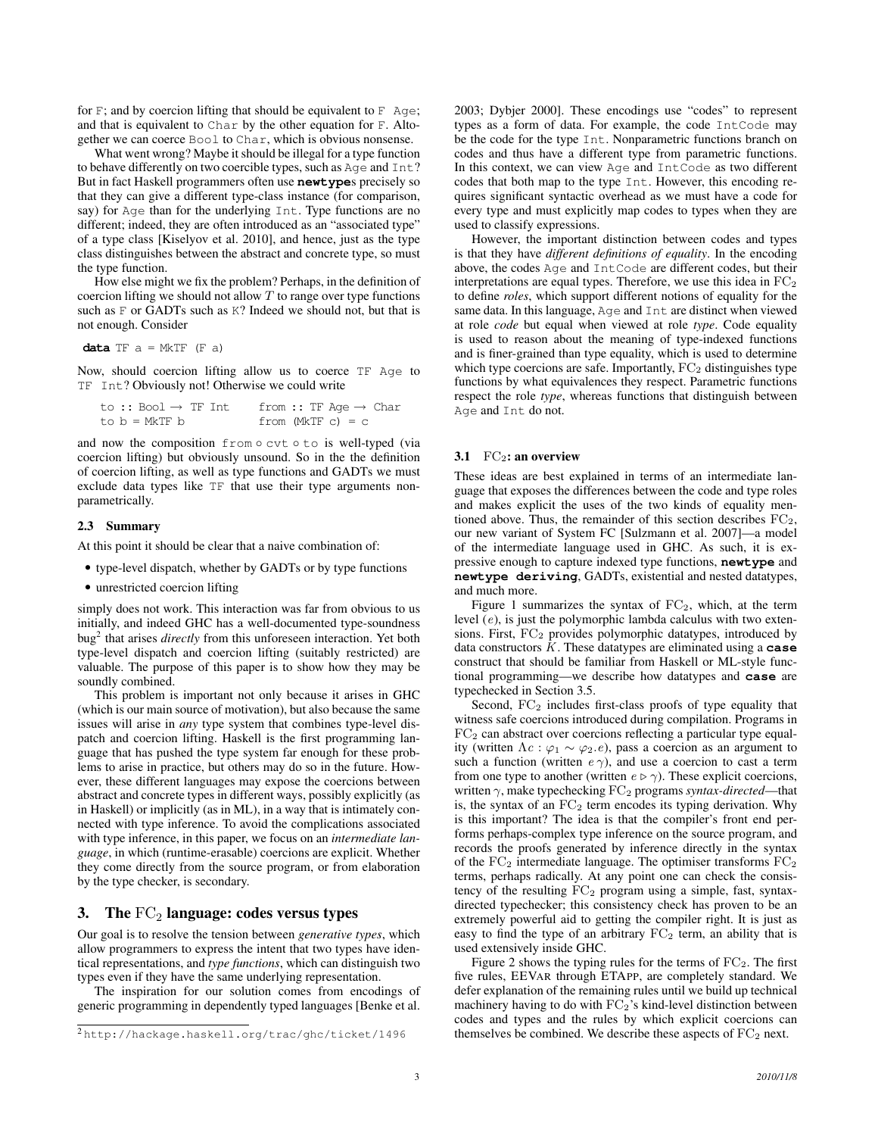for  $F$ ; and by coercion lifting that should be equivalent to  $F$  Age; and that is equivalent to Char by the other equation for F. Altogether we can coerce Bool to Char, which is obvious nonsense.

What went wrong? Maybe it should be illegal for a type function to behave differently on two coercible types, such as Age and Int? But in fact Haskell programmers often use **newtype**s precisely so that they can give a different type-class instance (for comparison, say) for Age than for the underlying Int. Type functions are no different; indeed, they are often introduced as an "associated type" of a type class [Kiselyov et al. 2010], and hence, just as the type class distinguishes between the abstract and concrete type, so must the type function.

How else might we fix the problem? Perhaps, in the definition of coercion lifting we should not allow  $T$  to range over type functions such as F or GADTs such as K? Indeed we should not, but that is not enough. Consider

**data**  $TF \ a = MKTF \ (F \ a)$ 

Now, should coercion lifting allow us to coerce TF Age to TF Int? Obviously not! Otherwise we could write

| to $::$ Bool $\rightarrow$ TF Int | from :: TF Age $\rightarrow$ Char |
|-----------------------------------|-----------------------------------|
| $to b = MkTF b$                   | from (MkTF $c$ ) = $c$            |

and now the composition from ∘ cvt ∘ to is well-typed (via coercion lifting) but obviously unsound. So in the the definition of coercion lifting, as well as type functions and GADTs we must exclude data types like TF that use their type arguments nonparametrically.

## 2.3 Summary

At this point it should be clear that a naive combination of:

- type-level dispatch, whether by GADTs or by type functions
- unrestricted coercion lifting

simply does not work. This interaction was far from obvious to us initially, and indeed GHC has a well-documented type-soundness bug<sup>2</sup> that arises *directly* from this unforeseen interaction. Yet both type-level dispatch and coercion lifting (suitably restricted) are valuable. The purpose of this paper is to show how they may be soundly combined.

This problem is important not only because it arises in GHC (which is our main source of motivation), but also because the same issues will arise in *any* type system that combines type-level dispatch and coercion lifting. Haskell is the first programming language that has pushed the type system far enough for these problems to arise in practice, but others may do so in the future. However, these different languages may expose the coercions between abstract and concrete types in different ways, possibly explicitly (as in Haskell) or implicitly (as in ML), in a way that is intimately connected with type inference. To avoid the complications associated with type inference, in this paper, we focus on an *intermediate language*, in which (runtime-erasable) coercions are explicit. Whether they come directly from the source program, or from elaboration by the type checker, is secondary.

# 3. The  $FC_2$  language: codes versus types

Our goal is to resolve the tension between *generative types*, which allow programmers to express the intent that two types have identical representations, and *type functions*, which can distinguish two types even if they have the same underlying representation.

The inspiration for our solution comes from encodings of generic programming in dependently typed languages [Benke et al.

2003; Dybjer 2000]. These encodings use "codes" to represent types as a form of data. For example, the code IntCode may be the code for the type Int. Nonparametric functions branch on codes and thus have a different type from parametric functions. In this context, we can view Age and IntCode as two different codes that both map to the type Int. However, this encoding requires significant syntactic overhead as we must have a code for every type and must explicitly map codes to types when they are used to classify expressions.

However, the important distinction between codes and types is that they have *different definitions of equality*. In the encoding above, the codes Age and IntCode are different codes, but their interpretations are equal types. Therefore, we use this idea in  $FC<sub>2</sub>$ to define *roles*, which support different notions of equality for the same data. In this language, Age and Int are distinct when viewed at role *code* but equal when viewed at role *type*. Code equality is used to reason about the meaning of type-indexed functions and is finer-grained than type equality, which is used to determine which type coercions are safe. Importantly,  $FC<sub>2</sub>$  distinguishes type functions by what equivalences they respect. Parametric functions respect the role *type*, whereas functions that distinguish between Age and Int do not.

#### 3.1  $FC_2$ : an overview

These ideas are best explained in terms of an intermediate language that exposes the differences between the code and type roles and makes explicit the uses of the two kinds of equality mentioned above. Thus, the remainder of this section describes  $FC_2$ , our new variant of System FC [Sulzmann et al. 2007]—a model of the intermediate language used in GHC. As such, it is expressive enough to capture indexed type functions, **newtype** and **newtype deriving**, GADTs, existential and nested datatypes, and much more.

Figure 1 summarizes the syntax of  $FC<sub>2</sub>$ , which, at the term level (e), is just the polymorphic lambda calculus with two extensions. First,  $FC<sub>2</sub>$  provides polymorphic datatypes, introduced by data constructors K. These datatypes are eliminated using a **case** construct that should be familiar from Haskell or ML-style functional programming—we describe how datatypes and **case** are typechecked in Section 3.5.

Second,  $FC<sub>2</sub>$  includes first-class proofs of type equality that witness safe coercions introduced during compilation. Programs in  $FC<sub>2</sub>$  can abstract over coercions reflecting a particular type equality (written  $\Lambda c : \varphi_1 \sim \varphi_2.e$ ), pass a coercion as an argument to such a function (written  $e \gamma$ ), and use a coercion to cast a term from one type to another (written  $e \triangleright \gamma$ ). These explicit coercions, written γ, make typechecking FC<sup>2</sup> programs *syntax-directed*—that is, the syntax of an  $FC<sub>2</sub>$  term encodes its typing derivation. Why is this important? The idea is that the compiler's front end performs perhaps-complex type inference on the source program, and records the proofs generated by inference directly in the syntax of the  $FC_2$  intermediate language. The optimiser transforms  $FC_2$ terms, perhaps radically. At any point one can check the consistency of the resulting FC<sub>2</sub> program using a simple, fast, syntaxdirected typechecker; this consistency check has proven to be an extremely powerful aid to getting the compiler right. It is just as easy to find the type of an arbitrary  $FC<sub>2</sub>$  term, an ability that is used extensively inside GHC.

Figure 2 shows the typing rules for the terms of  $FC_2$ . The first five rules, EEVAR through ETAPP, are completely standard. We defer explanation of the remaining rules until we build up technical machinery having to do with  $FC_2$ 's kind-level distinction between codes and types and the rules by which explicit coercions can themselves be combined. We describe these aspects of  $FC<sub>2</sub>$  next.

<sup>2</sup> http://hackage.haskell.org/trac/ghc/ticket/1496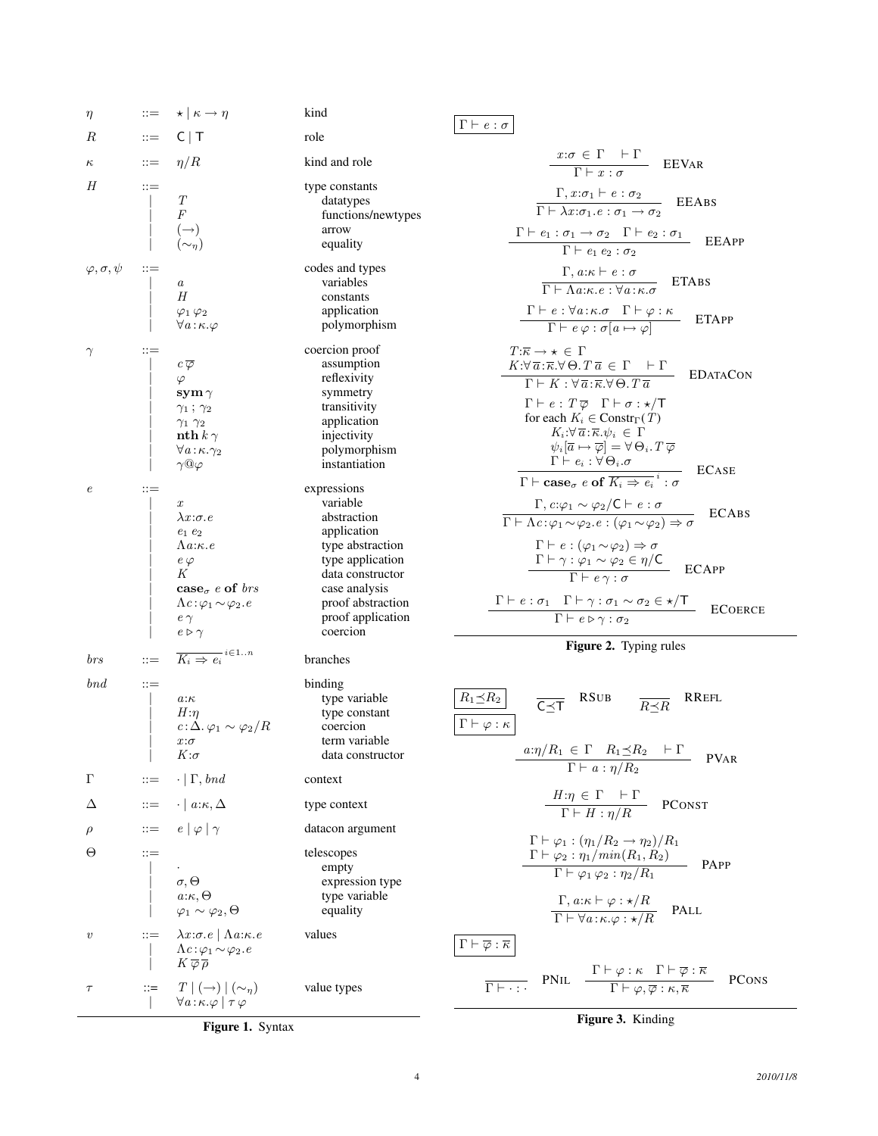

# $\Gamma \vdash e : \sigma$

$$
\frac{x:\sigma \in \Gamma \mid \Gamma}{\Gamma \mid x:\sigma} \quad \text{EEVar}
$$
\n
$$
\frac{\Gamma, x:\sigma_1 \mid e:\sigma_2}{\Gamma \mid -\lambda x:\sigma_1.e:\sigma_1 \rightarrow \sigma_2} \quad \text{EEABS}
$$
\n
$$
\frac{\Gamma \mid e_1:\sigma_1 \rightarrow \sigma_2 \quad \Gamma \mid e_2:\sigma_1}{\Gamma \mid e_1 e_2:\sigma_2} \quad \text{EEAPP}
$$
\n
$$
\frac{\Gamma, a:\kappa \mid e:\sigma}{\Gamma \mid -\lambda a:\kappa.e:\forall a:\kappa.\sigma} \quad \text{ETABS}
$$
\n
$$
\frac{\Gamma \mid e:\forall a:\kappa.\sigma \quad \Gamma \mid \varphi:\kappa}{\Gamma \mid e\varphi:\sigma[a \mapsto \varphi]} \quad \text{ETAPP}
$$
\n
$$
\frac{T:\kappa \rightarrow \kappa \in \Gamma}{\Gamma \mid e:\forall \bar{a}:\kappa.\forall \Theta.\,T \, \bar{a} \in \Gamma \mid \Gamma} \quad \text{EDATACON}
$$
\n
$$
\Gamma \mid E:\, T \, \bar{\varphi} \quad \Gamma \mid \sigma : \star/\tau
$$
\nfor each  $K_i \in \text{Constr}_{\Gamma}(T)$ \n
$$
K_i:\forall \bar{a}:\kappa.\psi_i \in \Gamma
$$
\n
$$
\psi_i[\bar{a} \mapsto \bar{\varphi}] = \forall \Theta_i.\,T \, \bar{\varphi}
$$
\n
$$
\Gamma \mid e_i : \forall \Theta_i.\sigma
$$
\n
$$
\Gamma \mid e_i : \forall \Theta_i.\sigma
$$
\n
$$
\Gamma \mid e_i : \forall \Theta_i.\sigma
$$
\n
$$
\Gamma \mid e_i : \forall \phi_i.\sigma
$$
\n
$$
\Gamma \mid e_i : \forall \phi_i \sim \varphi_2/C \vdash e:\sigma
$$
\n
$$
\Gamma \mid e_i : \varphi_1 \sim \varphi_2 \in \{(\varphi_1 \sim \varphi_2) \Rightarrow \sigma} \quad \text{ECABS}
$$
\n
$$
\Gamma \mid e : (\varphi_1 \sim \varphi_2) \Rightarrow \sigma
$$
\n
$$
\Gamma \mid e : (\varphi_1 \sim \varphi_2) \Rightarrow \sigma
$$
\n
$$
\Gamma \mid e : \sigma_1 \quad \Gamma \mid \gamma : \sigma_1 \sim \sigma_2 \in \star
$$

Figure 2. Typing rules

| $R_1 \preceq R_2$                                               | $\overline{C} \preceq \overline{T}$                     | RSUB                                                                                                                                                                | $\overline{R} \preceq R$ | RREFL |
|-----------------------------------------------------------------|---------------------------------------------------------|---------------------------------------------------------------------------------------------------------------------------------------------------------------------|--------------------------|-------|
| $\Gamma \vdash \varphi : \kappa$                                | $a:\eta/R_1 \in \Gamma$ $R_1 \preceq R_2 \vdash \Gamma$ | PVAR                                                                                                                                                                |                          |       |
| $H:\eta \in \Gamma \vdash \Gamma$                               | $\overline{T \vdash a} : \eta/R_2$                      | PCONST                                                                                                                                                              |                          |       |
| $\Gamma \vdash \varphi_1 : (\eta_1/R_2 \rightarrow \eta_2)/R_1$ | $\Gamma \vdash \varphi_2 : \eta_1/min(R_1, R_2)$        | PAPP                                                                                                                                                                |                          |       |
| $\Gamma \vdash \varphi_1 \varphi_2 : \eta_2/R_1$                | PAPP                                                    |                                                                                                                                                                     |                          |       |
| $\Gamma \vdash \varphi_1 \varphi_2 : \eta_2/R_1$                | PALL                                                    |                                                                                                                                                                     |                          |       |
| $\Gamma \vdash \overline{\varphi} : \overline{\kappa}$          | $\Gamma \vdash \forall a : \kappa, \varphi : \star/R$   | PALL                                                                                                                                                                |                          |       |
| $\Gamma \vdash \overline{\varphi} : \overline{\kappa}$          | PNU                                                     | $\frac{\Gamma \vdash \varphi : \kappa \Gamma \vdash \overline{\varphi} : \overline{\kappa}}{\Gamma \vdash \varphi, \overline{\varphi} : \kappa, \overline{\kappa}}$ | PCons                    |       |

Figure 1. Syntax

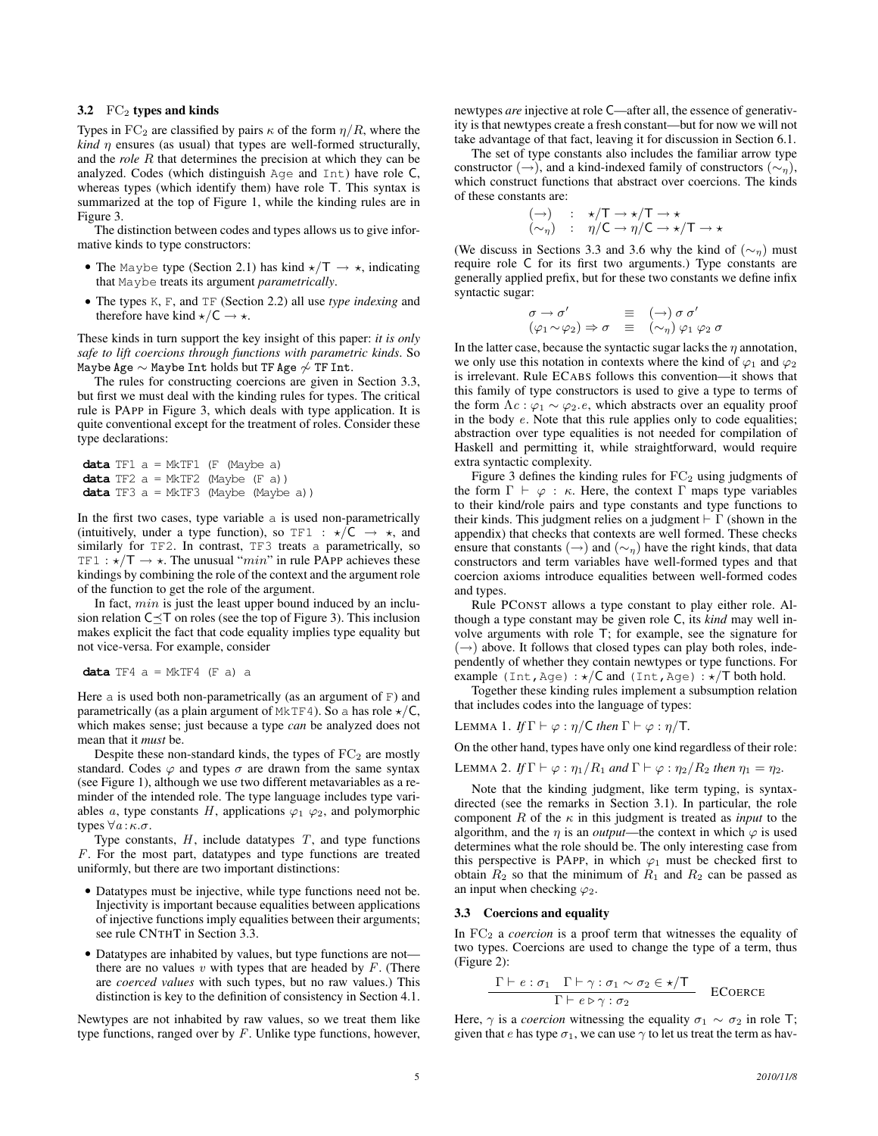#### 3.2  $FC_2$  types and kinds

Types in FC<sub>2</sub> are classified by pairs  $\kappa$  of the form  $\eta/R$ , where the *kind*  $\eta$  ensures (as usual) that types are well-formed structurally, and the *role* R that determines the precision at which they can be analyzed. Codes (which distinguish Age and Int) have role C, whereas types (which identify them) have role T. This syntax is summarized at the top of Figure 1, while the kinding rules are in Figure 3.

The distinction between codes and types allows us to give informative kinds to type constructors:

- The Maybe type (Section 2.1) has kind  $\star/T \rightarrow \star$ , indicating that Maybe treats its argument *parametrically*.
- The types K, F, and TF (Section 2.2) all use *type indexing* and therefore have kind  $\star$ /C  $\to \star$ .

These kinds in turn support the key insight of this paper: *it is only safe to lift coercions through functions with parametric kinds*. So Maybe Age  $\sim$  Maybe Int holds but TF Age  $\sim$  TF Int.

The rules for constructing coercions are given in Section 3.3, but first we must deal with the kinding rules for types. The critical rule is PAPP in Figure 3, which deals with type application. It is quite conventional except for the treatment of roles. Consider these type declarations:

**data** TF1 a = MkTF1 (F (Maybe a) **data** TF2 a = MkTF2 (Maybe (F a)) **data** TF3 a = MkTF3 (Maybe (Maybe a))

In the first two cases, type variable a is used non-parametrically (intuitively, under a type function), so TF1 :  $\star/C \rightarrow \star$ , and similarly for TF2. In contrast, TF3 treats a parametrically, so TF1 :  $\star/T \rightarrow \star$ . The unusual "*min*" in rule PAPP achieves these kindings by combining the role of the context and the argument role of the function to get the role of the argument.

In fact,  $min$  is just the least upper bound induced by an inclusion relation  $C \prec T$  on roles (see the top of Figure 3). This inclusion makes explicit the fact that code equality implies type equality but not vice-versa. For example, consider

```
data TF4 a = MkTF4 (F a) a
```
Here a is used both non-parametrically (as an argument of  $F$ ) and parametrically (as a plain argument of MkTF4). So a has role  $\star$ /C, which makes sense; just because a type *can* be analyzed does not mean that it *must* be.

Despite these non-standard kinds, the types of  $FC<sub>2</sub>$  are mostly standard. Codes  $\varphi$  and types  $\sigma$  are drawn from the same syntax (see Figure 1), although we use two different metavariables as a reminder of the intended role. The type language includes type variables a, type constants H, applications  $\varphi_1$   $\varphi_2$ , and polymorphic types  $\forall a:\kappa.\sigma.$ 

Type constants,  $H$ , include datatypes  $T$ , and type functions F. For the most part, datatypes and type functions are treated uniformly, but there are two important distinctions:

- Datatypes must be injective, while type functions need not be. Injectivity is important because equalities between applications of injective functions imply equalities between their arguments; see rule CNTHT in Section 3.3.
- Datatypes are inhabited by values, but type functions are not there are no values  $v$  with types that are headed by  $F$ . (There are *coerced values* with such types, but no raw values.) This distinction is key to the definition of consistency in Section 4.1.

Newtypes are not inhabited by raw values, so we treat them like type functions, ranged over by  $F$ . Unlike type functions, however, newtypes *are* injective at role C—after all, the essence of generativity is that newtypes create a fresh constant—but for now we will not take advantage of that fact, leaving it for discussion in Section 6.1.

The set of type constants also includes the familiar arrow type constructor (→), and a kind-indexed family of constructors ( $\sim_n$ ), which construct functions that abstract over coercions. The kinds of these constants are:

$$
\begin{array}{rcl} (\to) & : & \star/T \to \star/T \to \star \\ (\sim_{\eta}) & : & \eta/C \to \eta/C \to \star/T \to \star \end{array}
$$

(We discuss in Sections 3.3 and 3.6 why the kind of  $(\sim_{\eta})$  must require role C for its first two arguments.) Type constants are generally applied prefix, but for these two constants we define infix syntactic sugar:

$$
\begin{array}{rcl}\n\sigma \to \sigma' & \equiv & (\to) \sigma \sigma' \\
(\varphi_1 \sim \varphi_2) \Rightarrow \sigma & \equiv & (\sim_{\eta}) \varphi_1 \varphi_2 \sigma\n\end{array}
$$

In the latter case, because the syntactic sugar lacks the  $\eta$  annotation, we only use this notation in contexts where the kind of  $\varphi_1$  and  $\varphi_2$ is irrelevant. Rule ECABS follows this convention—it shows that this family of type constructors is used to give a type to terms of the form  $\Lambda c : \varphi_1 \sim \varphi_2.e$ , which abstracts over an equality proof in the body e. Note that this rule applies only to code equalities; abstraction over type equalities is not needed for compilation of Haskell and permitting it, while straightforward, would require extra syntactic complexity.

Figure 3 defines the kinding rules for  $FC<sub>2</sub>$  using judgments of the form  $\Gamma \vdash \varphi : \kappa$ . Here, the context  $\Gamma$  maps type variables to their kind/role pairs and type constants and type functions to their kinds. This judgment relies on a judgment  $\vdash \Gamma$  (shown in the appendix) that checks that contexts are well formed. These checks ensure that constants (→) and ( $\sim$ <sub>n</sub>) have the right kinds, that data constructors and term variables have well-formed types and that coercion axioms introduce equalities between well-formed codes and types.

Rule PCONST allows a type constant to play either role. Although a type constant may be given role C, its *kind* may well involve arguments with role T; for example, see the signature for  $(\rightarrow)$  above. It follows that closed types can play both roles, independently of whether they contain newtypes or type functions. For example (Int, Age) :  $\star$ /C and (Int, Age) :  $\star$ /T both hold.

Together these kinding rules implement a subsumption relation that includes codes into the language of types:

LEMMA 1. *If*  $\Gamma \vdash \varphi : \eta / C$  *then*  $\Gamma \vdash \varphi : \eta / T$ .

On the other hand, types have only one kind regardless of their role:

LEMMA 2. If 
$$
\Gamma \vdash \varphi : \eta_1 / R_1
$$
 and  $\Gamma \vdash \varphi : \eta_2 / R_2$  then  $\eta_1 = \eta_2$ .

Note that the kinding judgment, like term typing, is syntaxdirected (see the remarks in Section 3.1). In particular, the role component R of the  $\kappa$  in this judgment is treated as *input* to the algorithm, and the  $\eta$  is an *output*—the context in which  $\varphi$  is used determines what the role should be. The only interesting case from this perspective is PAPP, in which  $\varphi_1$  must be checked first to obtain  $\overline{R_2}$  so that the minimum of  $\overline{R_1}$  and  $\overline{R_2}$  can be passed as an input when checking  $\varphi_2$ .

#### 3.3 Coercions and equality

In FC<sub>2</sub> a *coercion* is a proof term that witnesses the equality of two types. Coercions are used to change the type of a term, thus (Figure 2):

$$
\frac{\Gamma \vdash e : \sigma_1 \quad \Gamma \vdash \gamma : \sigma_1 \sim \sigma_2 \in \star/T}{\Gamma \vdash e \triangleright \gamma : \sigma_2} \quad \text{ECoerce}
$$

Here,  $\gamma$  is a *coercion* witnessing the equality  $\sigma_1 \sim \sigma_2$  in role T; given that e has type  $\sigma_1$ , we can use  $\gamma$  to let us treat the term as hav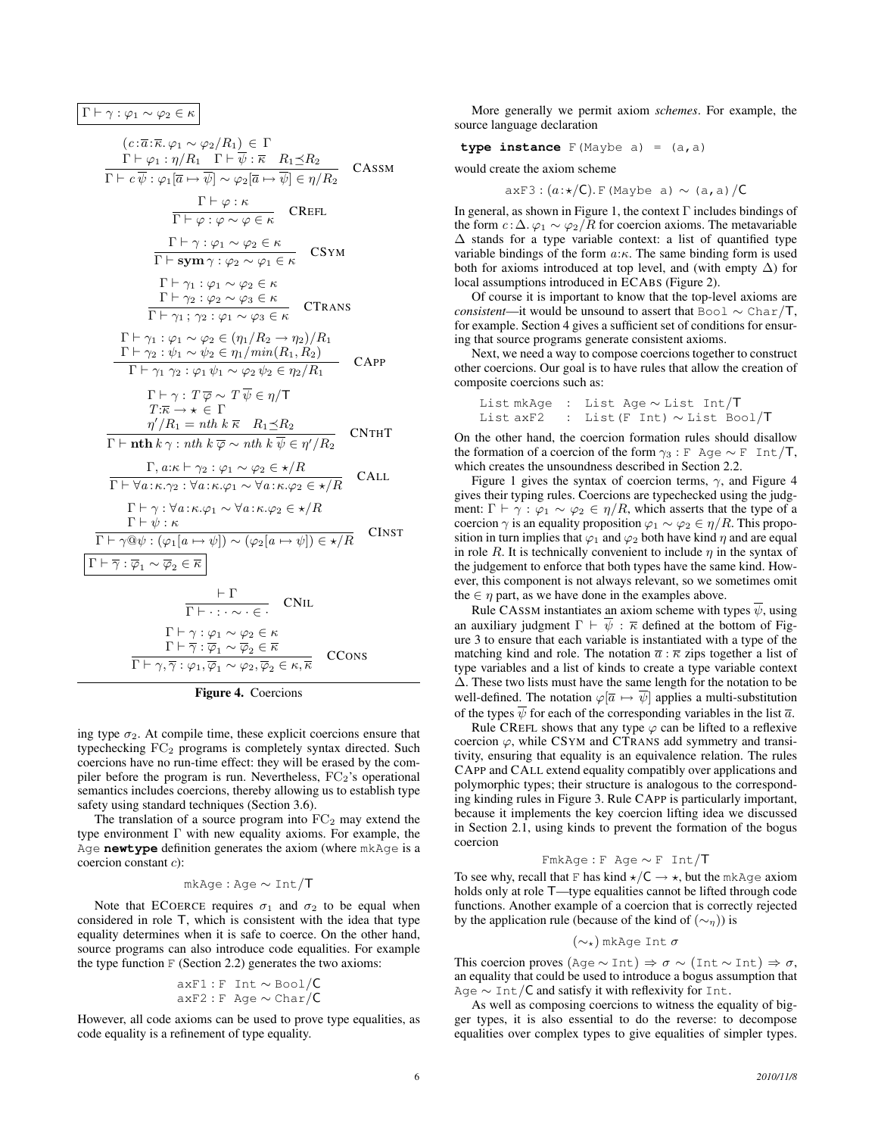$Γ ⊢ γ : φ<sub>1</sub> ∼ φ<sub>2</sub> ∈ κ$ 

$$
(c:\overline{a}:\overline{\kappa},\varphi_1 \sim \varphi_2/R_1) \in \Gamma
$$
\n
$$
\Gamma \vdash \varphi_1 : \eta/R_1 \Gamma \vdash \overline{\psi} : \overline{\kappa} \quad R_1 \leq R_2
$$
\n
$$
\Gamma \vdash c \overline{\psi} : \varphi_1[\overline{a} \rightarrow \overline{\psi}] \sim \varphi_2[\overline{a} \rightarrow \overline{\psi}] \in \eta/R_2
$$
\n
$$
\Gamma \vdash \varphi : \kappa
$$
\n
$$
\Gamma \vdash \varphi : \varphi \sim \varphi \in \kappa
$$
\n
$$
\Gamma \vdash \gamma : \varphi_1 \sim \varphi_2 \in \kappa
$$
\n
$$
\Gamma \vdash \gamma_1 : \varphi_1 \sim \varphi_2 \in \kappa
$$
\n
$$
\Gamma \vdash \gamma_2 : \varphi_2 \sim \varphi_3 \in \kappa
$$
\n
$$
\Gamma \vdash \gamma_1 : \varphi_1 \sim \varphi_2 \in \kappa
$$
\n
$$
\Gamma \vdash \gamma_1 : \varphi_1 \sim \varphi_2 \in \kappa
$$
\n
$$
\Gamma \vdash \gamma_1 : \varphi_1 \sim \varphi_2 \in (\eta_1/R_2 \rightarrow \eta_2)/R_1
$$
\n
$$
\Gamma \vdash \gamma_2 : \psi_1 \sim \psi_2 \in (\eta_1/R_2 \rightarrow \eta_2)/R_1
$$
\n
$$
\Gamma \vdash \gamma_1 : \varphi_1 \sim \varphi_2 \in \eta_1/\min(R_1, R_2)
$$
\n
$$
\Gamma \vdash \gamma_1 : \varphi_1 \sim \psi_2 \in \eta_1/\min(R_1, R_2)
$$
\n
$$
\Gamma \vdash \gamma_1 : \overline{\varphi} \sim T \overline{\psi} \in \eta/\Gamma
$$
\n
$$
T: \overline{\kappa} \rightarrow \kappa \in \Gamma
$$
\n
$$
\eta'/R_1 = nth \ k \overline{\kappa} \quad R_1 \preceq R_2
$$
\n
$$
\Gamma \vdash n \mathbf{th} \ k \gamma : n \mathbf{th} \ k \overline{\psi} \in \eta'/R_2
$$
\n
$$
\Gamma \vdash \forall a: \kappa. \varphi
$$

Figure 4. Coercions

ing type  $\sigma_2$ . At compile time, these explicit coercions ensure that typechecking  $FC<sub>2</sub>$  programs is completely syntax directed. Such coercions have no run-time effect: they will be erased by the compiler before the program is run. Nevertheless,  $FC_2$ 's operational semantics includes coercions, thereby allowing us to establish type safety using standard techniques (Section 3.6).

The translation of a source program into  $FC<sub>2</sub>$  may extend the type environment Γ with new equality axioms. For example, the Age **newtype** definition generates the axiom (where mkAge is a coercion constant c):

$$
mkAge: Age \sim Int/T
$$

Note that ECOERCE requires  $\sigma_1$  and  $\sigma_2$  to be equal when considered in role T, which is consistent with the idea that type equality determines when it is safe to coerce. On the other hand, source programs can also introduce code equalities. For example the type function  $F$  (Section 2.2) generates the two axioms:

$$
axF1: F Int \sim \text{Bool}/C
$$
  

$$
axF2: F Age \sim \text{Char}/C
$$

However, all code axioms can be used to prove type equalities, as code equality is a refinement of type equality.

More generally we permit axiom *schemes*. For example, the source language declaration

$$
type instance F(Maybe a) = (a, a)
$$

would create the axiom scheme

 $axF3:(a:*/C).$  F(Maybe a) ~ (a, a)/C

In general, as shown in Figure 1, the context Γ includes bindings of the form  $c : \Delta$ .  $\varphi_1 \sim \varphi_2 / R$  for coercion axioms. The metavariable ∆ stands for a type variable context: a list of quantified type variable bindings of the form  $a:\kappa$ . The same binding form is used both for axioms introduced at top level, and (with empty  $\Delta$ ) for local assumptions introduced in ECABS (Figure 2).

Of course it is important to know that the top-level axioms are *consistent*—it would be unsound to assert that Bool ∼ Char/T, for example. Section 4 gives a sufficient set of conditions for ensuring that source programs generate consistent axioms.

Next, we need a way to compose coercions together to construct other coercions. Our goal is to have rules that allow the creation of composite coercions such as:

```
List mkAge : List Age ∼ List Int/T
List axF2 : List(F Int) ∼ List Bool/T
```
On the other hand, the coercion formation rules should disallow the formation of a coercion of the form  $\gamma_3$ : F Age ∼ F Int/T, which creates the unsoundness described in Section 2.2.

Figure 1 gives the syntax of coercion terms,  $\gamma$ , and Figure 4 gives their typing rules. Coercions are typechecked using the judgment:  $\Gamma \vdash \gamma : \varphi_1 \sim \varphi_2 \in \eta/R$ , which asserts that the type of a coercion  $\gamma$  is an equality proposition  $\varphi_1 \sim \varphi_2 \in \eta/R$ . This proposition in turn implies that  $\varphi_1$  and  $\varphi_2$  both have kind  $\eta$  and are equal in role R. It is technically convenient to include  $\eta$  in the syntax of the judgement to enforce that both types have the same kind. However, this component is not always relevant, so we sometimes omit the  $\in$   $\eta$  part, as we have done in the examples above.

Rule CASSM instantiates an axiom scheme with types  $\overline{\psi}$ , using an auxiliary judgment  $\Gamma \vdash \overline{\psi} : \overline{\kappa}$  defined at the bottom of Figure 3 to ensure that each variable is instantiated with a type of the matching kind and role. The notation  $\bar{a}$  :  $\bar{\kappa}$  zips together a list of type variables and a list of kinds to create a type variable context ∆. These two lists must have the same length for the notation to be well-defined. The notation  $\varphi[\overline{a} \mapsto \overline{\psi}]$  applies a multi-substitution of the types  $\overline{\psi}$  for each of the corresponding variables in the list  $\overline{a}$ .

Rule CREFL shows that any type  $\varphi$  can be lifted to a reflexive coercion  $\varphi$ , while CSYM and CTRANS add symmetry and transitivity, ensuring that equality is an equivalence relation. The rules CAPP and CALL extend equality compatibly over applications and polymorphic types; their structure is analogous to the corresponding kinding rules in Figure 3. Rule CAPP is particularly important, because it implements the key coercion lifting idea we discussed in Section 2.1, using kinds to prevent the formation of the bogus coercion

#### FmkAge : F Age ∼ F Int/T

To see why, recall that F has kind  $\star$ /C  $\to \star$ , but the mkAge axiom holds only at role T—type equalities cannot be lifted through code functions. Another example of a coercion that is correctly rejected by the application rule (because of the kind of  $(\sim_{\eta})$ ) is

$$
(\sim_\star)\text{mkAge Int }\sigma
$$

This coercion proves (Age  $\sim$  Int)  $\Rightarrow$   $\sigma \sim$  (Int  $\sim$  Int)  $\Rightarrow$   $\sigma$ , an equality that could be used to introduce a bogus assumption that Age ~ Int/C and satisfy it with reflexivity for Int.

As well as composing coercions to witness the equality of bigger types, it is also essential to do the reverse: to decompose equalities over complex types to give equalities of simpler types.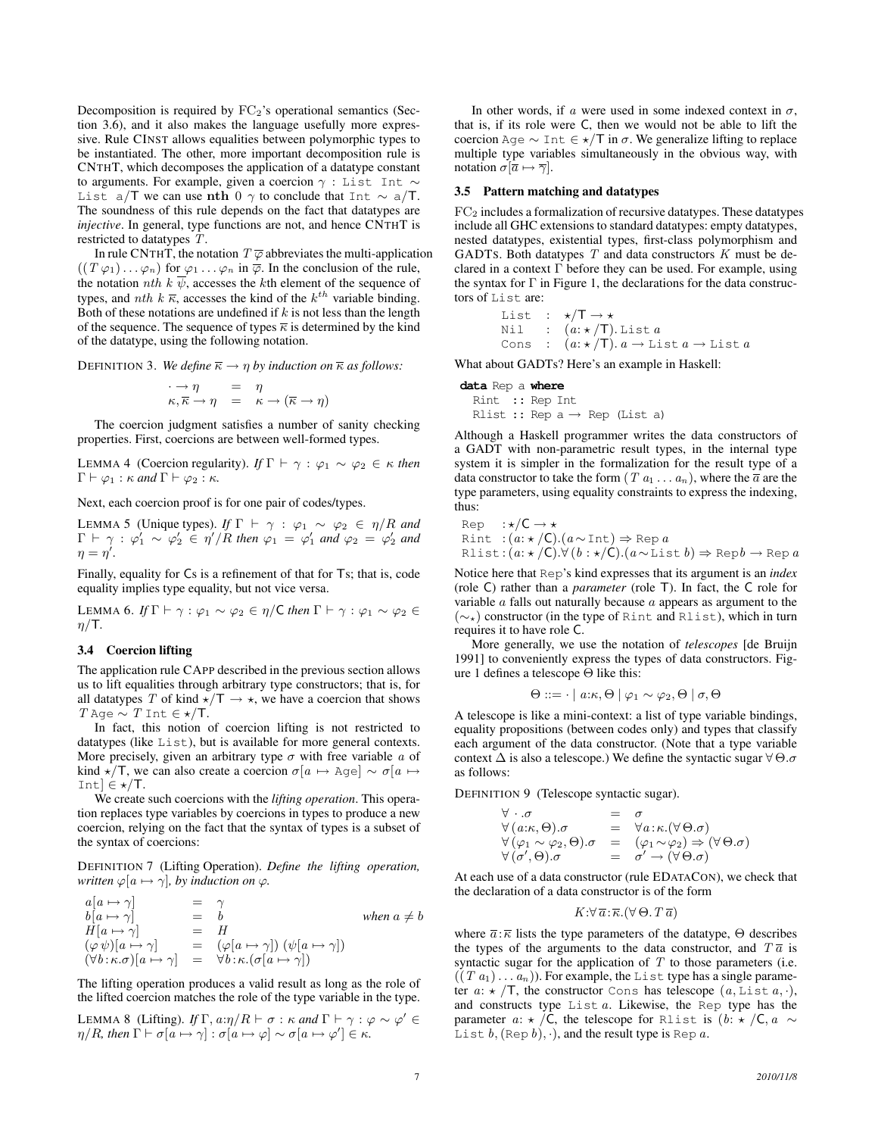Decomposition is required by  $FC_2$ 's operational semantics (Section 3.6), and it also makes the language usefully more expressive. Rule CINST allows equalities between polymorphic types to be instantiated. The other, more important decomposition rule is CNTHT, which decomposes the application of a datatype constant to arguments. For example, given a coercion  $\gamma$  : List Int ~ List a/T we can use nth 0  $\gamma$  to conclude that Int  $\sim$  a/T. The soundness of this rule depends on the fact that datatypes are *injective*. In general, type functions are not, and hence CNTHT is restricted to datatypes T.

In rule CNTHT, the notation  $T \overline{\varphi}$  abbreviates the multi-application  $((T \varphi_1) \dots \varphi_n)$  for  $\varphi_1 \dots \varphi_n$  in  $\overline{\varphi}$ . In the conclusion of the rule, the notation *nth*  $k \overline{\psi}$ , accesses the *k*th element of the sequence of types, and *nth*  $k \overline{\kappa}$ , accesses the kind of the  $k^{th}$  variable binding. Both of these notations are undefined if  $k$  is not less than the length of the sequence. The sequence of types  $\overline{\kappa}$  is determined by the kind of the datatype, using the following notation.

DEFINITION 3. *We define*  $\overline{\kappa} \to \eta$  *by induction on*  $\overline{\kappa}$  *as follows:* 

$$
\begin{array}{rcl}\n\cdot \to \eta & = & \eta \\
\kappa, \overline{\kappa} \to \eta & = & \kappa \to (\overline{\kappa} \to \eta)\n\end{array}
$$

The coercion judgment satisfies a number of sanity checking properties. First, coercions are between well-formed types.

LEMMA 4 (Coercion regularity). *If*  $\Gamma \vdash \gamma : \varphi_1 \sim \varphi_2 \in \kappa$  *then*  $\Gamma \vdash \varphi_1 : \kappa \text{ and } \Gamma \vdash \varphi_2 : \kappa.$ 

Next, each coercion proof is for one pair of codes/types.

LEMMA 5 (Unique types). *If*  $\Gamma \vdash \gamma : \varphi_1 \sim \varphi_2 \in \eta/R$  *and*  $\Gamma \vdash \gamma : \varphi_1' \sim \varphi_2' \in \eta'/R$  then  $\varphi_1 = \varphi_1'$  and  $\varphi_2 = \varphi_2'$  and  $\eta = \eta'.$ 

Finally, equality for Cs is a refinement of that for Ts; that is, code equality implies type equality, but not vice versa.

LEMMA 6. *If*  $\Gamma \vdash \gamma : \varphi_1 \sim \varphi_2 \in \eta / C$  *then*  $\Gamma \vdash \gamma : \varphi_1 \sim \varphi_2 \in$  $\eta/T$ .

#### 3.4 Coercion lifting

 $$ 

The application rule CAPP described in the previous section allows us to lift equalities through arbitrary type constructors; that is, for all datatypes T of kind  $\star/T \to \star$ , we have a coercion that shows T Age  $\sim T$  Int  $\in \star/\mathsf{T}$ .

In fact, this notion of coercion lifting is not restricted to datatypes (like List), but is available for more general contexts. More precisely, given an arbitrary type  $\sigma$  with free variable a of kind  $\star$ /T, we can also create a coercion  $\sigma[a \mapsto \text{Age}] \sim \sigma[a \mapsto \sigma(a)]$ Int]  $\in \star/T$ .

We create such coercions with the *lifting operation*. This operation replaces type variables by coercions in types to produce a new coercion, relying on the fact that the syntax of types is a subset of the syntax of coercions:

DEFINITION 7 (Lifting Operation). *Define the lifting operation, written*  $\varphi[a \mapsto \gamma]$ *, by induction on*  $\varphi$ *.* 

$$
\begin{array}{rcl}\na[a \mapsto \gamma] & = & \gamma \\
b[a \mapsto \gamma] & = & b \\
H[a \mapsto \gamma] & = & H \\
(\varphi \psi)[a \mapsto \gamma] & = & (\varphi[a \mapsto \gamma]) (\psi[a \mapsto \gamma]) \\
(\forall b: \kappa. \sigma)[a \mapsto \gamma] & = & \forall b: \kappa. (\sigma[a \mapsto \gamma])\n\end{array}\n\quad \text{when } a \neq b
$$

The lifting operation produces a valid result as long as the role of the lifted coercion matches the role of the type variable in the type.

LEMMA 8 (Lifting). *If*  $\Gamma$ ,  $a:\eta/R \vdash \sigma : \kappa$  *and*  $\Gamma \vdash \gamma : \varphi \sim \varphi' \in$  $\eta/R$ , then  $\Gamma \vdash \sigma[a \mapsto \gamma] : \sigma[a \mapsto \varphi] \sim \sigma[a \mapsto \varphi'] \in \kappa$ .

In other words, if a were used in some indexed context in  $\sigma$ , that is, if its role were C, then we would not be able to lift the coercion Age  $\sim$  Int  $\in \star/T$  in  $\sigma$ . We generalize lifting to replace multiple type variables simultaneously in the obvious way, with notation  $\sigma[\overline{a} \mapsto \overline{\gamma}]$ .

#### 3.5 Pattern matching and datatypes

 $FC<sub>2</sub>$  includes a formalization of recursive datatypes. These datatypes include all GHC extensions to standard datatypes: empty datatypes, nested datatypes, existential types, first-class polymorphism and GADTS. Both datatypes  $T$  and data constructors  $K$  must be declared in a context  $\Gamma$  before they can be used. For example, using the syntax for  $\Gamma$  in Figure 1, the declarations for the data constructors of List are:

> List :  $\star/T \rightarrow \star$ Nil :  $(a: \star /T)$ . List a Cons :  $(a: \star /T) \ldotp a \rightarrow \text{List } a \rightarrow \text{List } a$

What about GADTs? Here's an example in Haskell:

**data** Rep a **where** Rint :: Rep Int Rlist :: Rep a  $\rightarrow$  Rep (List a)

Although a Haskell programmer writes the data constructors of a GADT with non-parametric result types, in the internal type system it is simpler in the formalization for the result type of a data constructor to take the form  $(T a_1 \ldots a_n)$ , where the  $\overline{a}$  are the type parameters, using equality constraints to express the indexing, thus:

Rep  $:*/\mathsf{C} \rightarrow \star$ Rint : $(a: \star /C).(a \sim Int) \Rightarrow$  Rep a Rlist:  $(a: \star /C) \cdot \forall (b: \star /C) \cdot (a \sim \text{List } b) \Rightarrow \text{Rep } b \rightarrow \text{Rep } a$ 

Notice here that Rep's kind expresses that its argument is an *index* (role C) rather than a *parameter* (role T). In fact, the C role for variable  $\alpha$  falls out naturally because  $\alpha$  appears as argument to the  $(\sim_{\star})$  constructor (in the type of Rint and Rlist), which in turn requires it to have role C.

More generally, we use the notation of *telescopes* [de Bruijn 1991] to conveniently express the types of data constructors. Figure 1 defines a telescope  $\Theta$  like this:

$$
\Theta ::= \cdot | a:\kappa, \Theta | \varphi_1 \sim \varphi_2, \Theta | \sigma, \Theta
$$

A telescope is like a mini-context: a list of type variable bindings, equality propositions (between codes only) and types that classify each argument of the data constructor. (Note that a type variable context  $\Delta$  is also a telescope.) We define the syntactic sugar  $\forall \Theta$ . $\sigma$ as follows:

DEFINITION 9 (Telescope syntactic sugar).

 $\forall \cdot .\sigma$  =  $\sigma$  $\forall (a:\kappa,\Theta).\sigma$  =  $\forall a:\kappa.(\forall\,\Theta.\sigma)$  $\forall (\varphi_1 \sim \varphi_2, \Theta) . \sigma = (\varphi_1 \sim \varphi_2) \Rightarrow (\forall \Theta . \sigma)$  $\forall (\sigma', \Theta) . \sigma \quad = \quad \sigma' \rightarrow (\forall \Theta . \sigma)$ 

At each use of a data constructor (rule EDATACON), we check that the declaration of a data constructor is of the form

 $K:\forall \overline{a}:\overline{\kappa}.\forall\,\Theta\ldotp T\overline{a})$ 

where  $\overline{a}$ :  $\overline{\kappa}$  lists the type parameters of the datatype,  $\Theta$  describes the types of the arguments to the data constructor, and  $T\bar{a}$  is syntactic sugar for the application of  $T$  to those parameters (i.e.  $((T a_1) \dots a_n)$ ). For example, the List type has a single parameter  $a: \star /T$ , the constructor Cons has telescope  $(a, \text{List } a, \cdot),$ and constructs type  $List a$ . Likewise, the Rep type has the parameter  $a: \star /C$ , the telescope for Rlist is  $(b: \star /C, a \sim$ List  $b$ , (Rep  $b$ ),  $\cdot$ ), and the result type is Rep  $a$ .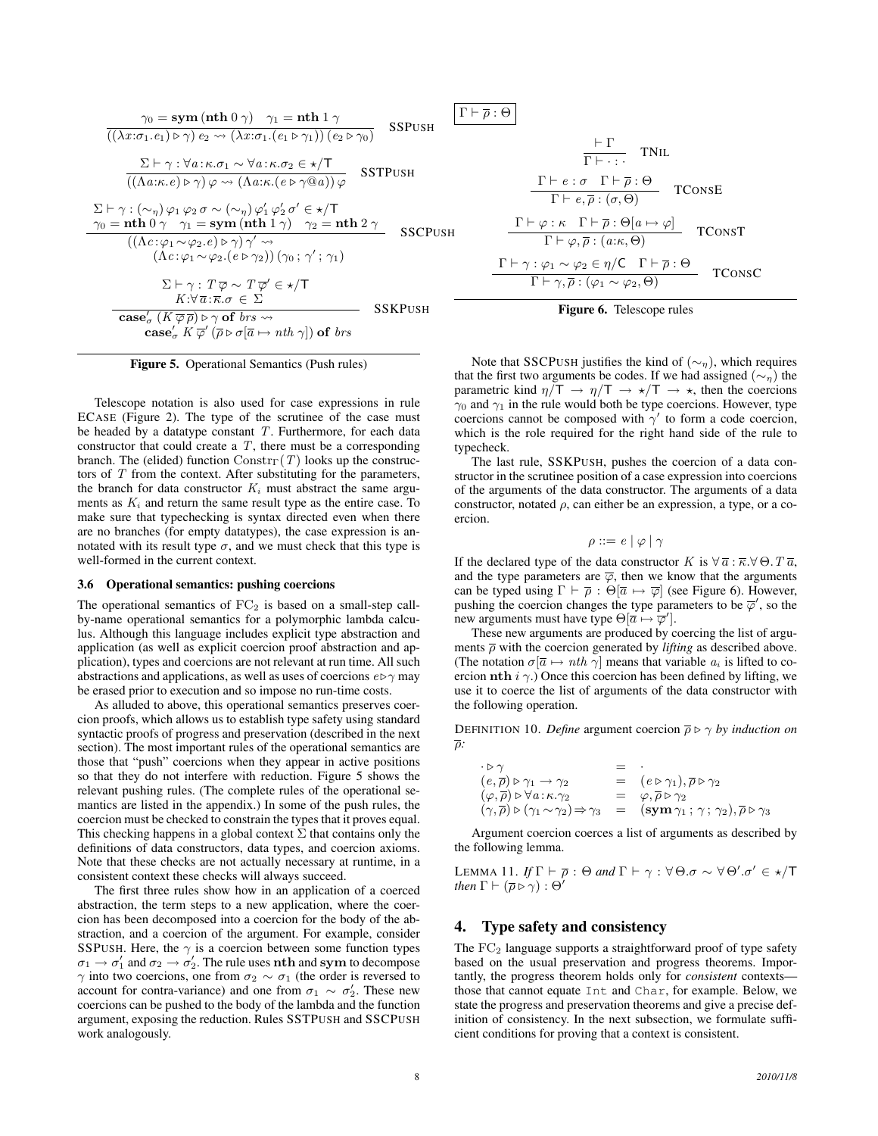$$
\frac{\gamma_0 = \textbf{sym}(\textbf{nth 0 }\gamma) \quad \gamma_1 = \textbf{nth 1 }\gamma}{((\lambda x:\sigma_1.e_1) \triangleright \gamma) e_2 \leadsto (\lambda x:\sigma_1.(e_1 \triangleright \gamma_1))(e_2 \triangleright \gamma_0)}
$$
SSPUSH  

$$
\frac{\Sigma \vdash \gamma : \forall a: \kappa.\sigma_1 \sim \forall a: \kappa.\sigma_2 \in \star/\mathsf{T}}{((\Lambda a:\kappa.e) \triangleright \gamma) \varphi \leadsto (\Lambda a:\kappa.(e \triangleright \gamma @a)) \varphi}
$$
SSTPUSH  

$$
\frac{\Sigma \vdash \gamma : (\sim_{\eta}) \varphi_1 \varphi_2 \sigma \sim (\sim_{\eta}) \varphi_1' \varphi_2' \sigma' \in \star/\mathsf{T}}{\gamma_0 = \textbf{nth 0 }\gamma \quad \gamma_1 = \textbf{sym}(\textbf{nth 1 }\gamma) \quad \gamma_2 = \textbf{nth 2 }\gamma}
$$
SSCPUSH  

$$
((\Lambda c:\varphi_1 \sim \varphi_2.e) \triangleright \gamma) \gamma' \leadsto
$$

$$
(\Lambda c:\varphi_1 \sim \varphi_2.(e \triangleright \gamma_2)) (\gamma_0; \gamma'; \gamma_1)
$$

$$
\frac{\Sigma \vdash \gamma : T \overline{\varphi} \sim T \overline{\varphi}' \in \star/\mathsf{T}}{K:\forall \overline{a}:\kappa.\sigma \in \Sigma}
$$
SSKPUSH  
case' <sub>$\sigma$</sub>  (K \overline{\varphi}) \triangleright \gamma \textbf{of } brs \leadsto SSKPUSH  
case' <sub>$\sigma$</sub>  (K \overline{\varphi}') \overline{\varphi} \sigma(\overline{a} \mapsto nth \gamma]) \textbf{of } brs

Figure 5. Operational Semantics (Push rules)

Telescope notation is also used for case expressions in rule ECASE (Figure 2). The type of the scrutinee of the case must be headed by a datatype constant  $T$ . Furthermore, for each data constructor that could create a  $T$ , there must be a corresponding branch. The (elided) function  $Constr_{\Gamma}(T)$  looks up the constructors of  $T$  from the context. After substituting for the parameters, the branch for data constructor  $K_i$  must abstract the same arguments as  $K_i$  and return the same result type as the entire case. To make sure that typechecking is syntax directed even when there are no branches (for empty datatypes), the case expression is annotated with its result type  $\sigma$ , and we must check that this type is well-formed in the current context.

#### 3.6 Operational semantics: pushing coercions

The operational semantics of  $FC<sub>2</sub>$  is based on a small-step callby-name operational semantics for a polymorphic lambda calculus. Although this language includes explicit type abstraction and application (as well as explicit coercion proof abstraction and application), types and coercions are not relevant at run time. All such abstractions and applications, as well as uses of coercions  $e \triangleright \gamma$  may be erased prior to execution and so impose no run-time costs.

As alluded to above, this operational semantics preserves coercion proofs, which allows us to establish type safety using standard syntactic proofs of progress and preservation (described in the next section). The most important rules of the operational semantics are those that "push" coercions when they appear in active positions so that they do not interfere with reduction. Figure 5 shows the relevant pushing rules. (The complete rules of the operational semantics are listed in the appendix.) In some of the push rules, the coercion must be checked to constrain the types that it proves equal. This checking happens in a global context  $\Sigma$  that contains only the definitions of data constructors, data types, and coercion axioms. Note that these checks are not actually necessary at runtime, in a consistent context these checks will always succeed.

The first three rules show how in an application of a coerced abstraction, the term steps to a new application, where the coercion has been decomposed into a coercion for the body of the abstraction, and a coercion of the argument. For example, consider SSPUSH. Here, the  $\gamma$  is a coercion between some function types  $\sigma_1 \rightarrow \sigma_1'$  and  $\sigma_2 \rightarrow \sigma_2'$ . The rule uses nth and sym to decompose  $\gamma$  into two coercions, one from  $\sigma_2 \sim \sigma_1$  (the order is reversed to account for contra-variance) and one from  $\sigma_1 \sim \sigma_2'$ . These new coercions can be pushed to the body of the lambda and the function argument, exposing the reduction. Rules SSTPUSH and SSCPUSH work analogously.

 $\Gamma \vdash \overline{\rho} : \Theta$ 

$$
\frac{\Gamma \vdash \Gamma}{\Gamma \vdash \cdot : \cdot} \quad \text{TNL}
$$
\n
$$
\frac{\Gamma \vdash e : \sigma \quad \Gamma \vdash \overline{\rho} : \Theta}{\Gamma \vdash e, \overline{\rho} : (\sigma, \Theta)} \quad \text{TConsE}
$$
\n
$$
\frac{\Gamma \vdash \varphi : \kappa \quad \Gamma \vdash \overline{\rho} : \Theta[a \mapsto \varphi]}{\Gamma \vdash \varphi, \overline{\rho} : (a : \kappa, \Theta)} \quad \text{TConsT}
$$
\n
$$
\frac{\Gamma \vdash \gamma : \varphi_1 \sim \varphi_2 \in \eta / \mathsf{C} \quad \Gamma \vdash \overline{\rho} : \Theta}{\Gamma \vdash \gamma, \overline{\rho} : (\varphi_1 \sim \varphi_2, \Theta)} \quad \text{TConsC}
$$



Note that SSCPUSH justifies the kind of  $(\sim_n)$ , which requires that the first two arguments be codes. If we had assigned ( $\sim_{\eta}$ ) the parametric kind  $\eta/T \to \eta/T \to \star/T \to \star$ , then the coercions  $\gamma_0$  and  $\gamma_1$  in the rule would both be type coercions. However, type coercions cannot be composed with  $\gamma'$  to form a code coercion, which is the role required for the right hand side of the rule to typecheck.

The last rule, SSKPUSH, pushes the coercion of a data constructor in the scrutinee position of a case expression into coercions of the arguments of the data constructor. The arguments of a data constructor, notated  $\rho$ , can either be an expression, a type, or a coercion.

$$
\rho ::= e \mid \varphi \mid \gamma
$$

If the declared type of the data constructor K is  $\forall \overline{a} : \overline{\kappa} . \forall \Theta . T \overline{a}$ , and the type parameters are  $\overline{\varphi}$ , then we know that the arguments can be typed using  $\Gamma \vdash \overline{\rho} : \Theta[\overline{a} \mapsto \overline{\varphi}]$  (see Figure 6). However, pushing the coercion changes the type parameters to be  $\overline{\varphi}'$ , so the new arguments must have type  $\Theta[\vec{a} \mapsto \vec{\varphi}']$ .

These new arguments are produced by coercing the list of arguments  $\overline{\rho}$  with the coercion generated by *lifting* as described above. (The notation  $\sigma[\overline{a} \mapsto nth \gamma]$  means that variable  $a_i$  is lifted to coercion nth  $i \gamma$ .) Once this coercion has been defined by lifting, we use it to coerce the list of arguments of the data constructor with the following operation.

**DEFINITION 10.** *Define* argument coercion  $\overline{\rho} \triangleright \gamma$  *by induction on* ρ*:*

| $\cdot$ D $\gamma$                                                                       | $=$ $\cdot$ |                                                                                                               |
|------------------------------------------------------------------------------------------|-------------|---------------------------------------------------------------------------------------------------------------|
| $(e,\overline{\rho}) \triangleright \gamma_1 \rightarrow \gamma_2$                       |             | $= (e \triangleright \gamma_1), \overline{\rho} \triangleright \gamma_2$                                      |
| $(\varphi, \overline{\rho}) \triangleright \forall a : \kappa. \gamma_2$                 |             | $= \varphi, \overline{\rho} \triangleright \gamma_2$                                                          |
| $(\gamma, \overline{\rho}) \triangleright (\gamma_1 \sim \gamma_2) \Rightarrow \gamma_3$ |             | $=$ $(\operatorname{\mathbf{sym}} \gamma_1\,;\,\gamma\,;\,\gamma_2), \overline{\rho} \triangleright \gamma_3$ |

Argument coercion coerces a list of arguments as described by the following lemma.

LEMMA 11.  $If \Gamma \vdash \overline{\rho} : \Theta \text{ and } \Gamma \vdash \gamma : \forall \Theta . \sigma \sim \forall \Theta'. \sigma' \in \star/\mathsf{T}$ *then*  $\Gamma \vdash (\overline{\rho} \triangleright \gamma) : \Theta'$ 

## 4. Type safety and consistency

The  $FC<sub>2</sub>$  language supports a straightforward proof of type safety based on the usual preservation and progress theorems. Importantly, the progress theorem holds only for *consistent* contexts those that cannot equate Int and Char, for example. Below, we state the progress and preservation theorems and give a precise definition of consistency. In the next subsection, we formulate sufficient conditions for proving that a context is consistent.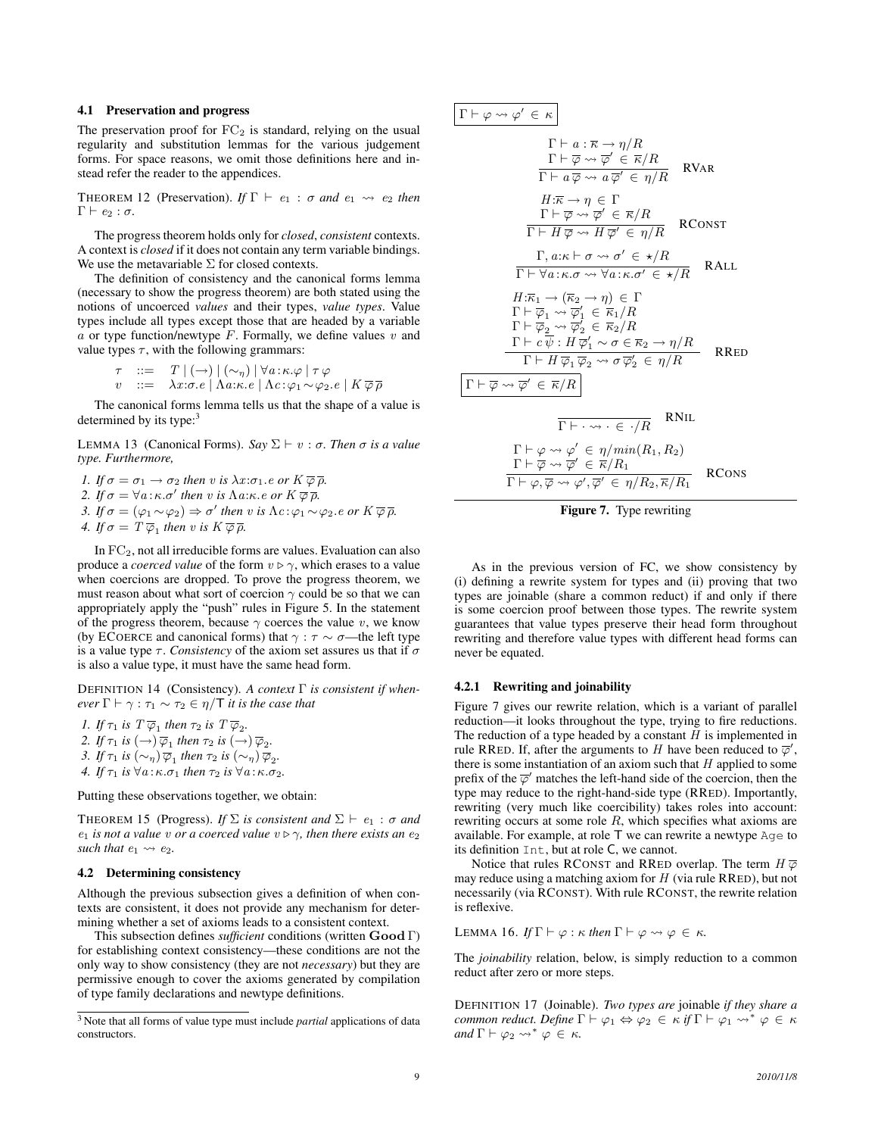#### 4.1 Preservation and progress

The preservation proof for  $FC_2$  is standard, relying on the usual regularity and substitution lemmas for the various judgement forms. For space reasons, we omit those definitions here and instead refer the reader to the appendices.

THEOREM 12 (Preservation). *If*  $\Gamma \vdash e_1 : \sigma$  *and*  $e_1 \leadsto e_2$  *then*  $Γ ⊢ e_2 : σ.$ 

The progress theorem holds only for *closed*, *consistent* contexts. A context is *closed* if it does not contain any term variable bindings. We use the metavariable  $\Sigma$  for closed contexts.

The definition of consistency and the canonical forms lemma (necessary to show the progress theorem) are both stated using the notions of uncoerced *values* and their types, *value types*. Value types include all types except those that are headed by a variable a or type function/newtype F. Formally, we define values  $v$  and value types  $\tau$ , with the following grammars:

$$
\tau ::= T | (\rightarrow) | (\sim_{\eta}) | \forall a : \kappa. \varphi | \tau \varphi
$$
  

$$
v ::= \lambda x : \sigma. e | \Lambda a : \kappa. e | \Lambda c : \varphi_1 \sim \varphi_2. e | K \overline{\varphi} \overline{\rho}
$$

The canonical forms lemma tells us that the shape of a value is determined by its type:

LEMMA 13 (Canonical Forms). *Say*  $\Sigma$   $\vdash$  *v* : *σ*. *Then σ is a value type. Furthermore,*

*1. If*  $\sigma = \sigma_1 \rightarrow \sigma_2$  *then v is*  $\lambda x : \sigma_1$ *.e or*  $K \overline{\varphi} \overline{\rho}$ *.* 2. If  $\sigma = \forall a : \kappa.\sigma'$  then v is  $\Lambda a : \kappa.e$  or  $K \overline{\varphi} \overline{\rho}$ . *3. If*  $\sigma = (\varphi_1 \sim \varphi_2) \Rightarrow \sigma'$  *then v is*  $\Lambda c : \varphi_1 \sim \varphi_2$ *.e or*  $K \overline{\varphi} \overline{\rho}$ *.* 

*4.* If  $\sigma = T \overline{\varphi}_1$  then v is  $K \overline{\varphi} \overline{\rho}$ .

In FC2, not all irreducible forms are values. Evaluation can also produce a *coerced value* of the form  $v \triangleright \gamma$ , which erases to a value when coercions are dropped. To prove the progress theorem, we must reason about what sort of coercion  $\gamma$  could be so that we can appropriately apply the "push" rules in Figure 5. In the statement of the progress theorem, because  $\gamma$  coerces the value v, we know (by ECOERCE and canonical forms) that  $\gamma : \tau \sim \sigma$ —the left type is a value type  $\tau$ . *Consistency* of the axiom set assures us that if  $\sigma$ is also a value type, it must have the same head form.

DEFINITION 14 (Consistency). *A context* Γ *is consistent if whenever*  $\Gamma \vdash \gamma : \tau_1 \sim \tau_2 \in \eta/T$  *it is the case that* 

*1. If*  $\tau_1$  *is*  $T \overline{\varphi}_1$  *then*  $\tau_2$  *is*  $T \overline{\varphi}_2$ *.* 2. If  $\tau_1$  is  $(\rightarrow)$   $\overline{\varphi}_1$  then  $\tau_2$  is  $(\rightarrow)$   $\overline{\varphi}_2$ . *3. If*  $\tau_1$  *is*  $(\sim_{\eta}) \overline{\varphi}_1$  *then*  $\tau_2$  *is*  $(\sim_{\eta}) \overline{\varphi}_2$ *. 4. If*  $\tau_1$  *is*  $\forall a:\kappa.\sigma_1$  *then*  $\tau_2$  *is*  $\forall a:\kappa.\sigma_2$ *.* 

Putting these observations together, we obtain:

THEOREM 15 (Progress). *If*  $\Sigma$  *is consistent and*  $\Sigma \vdash e_1 : \sigma$  *and*  $e_1$  *is not a value v or a coerced value*  $v \triangleright \gamma$ *, then there exists an*  $e_2$ *such that*  $e_1 \rightarrow e_2$ *.* 

#### 4.2 Determining consistency

Although the previous subsection gives a definition of when contexts are consistent, it does not provide any mechanism for determining whether a set of axioms leads to a consistent context.

This subsection defines *sufficient* conditions (written Good Γ) for establishing context consistency—these conditions are not the only way to show consistency (they are not *necessary*) but they are permissive enough to cover the axioms generated by compilation of type family declarations and newtype definitions.

$$
\Gamma \vdash \varphi \leadsto \varphi' \in \kappa
$$
\n
$$
\Gamma \vdash a : \overline{\kappa} \to \eta/R
$$
\n
$$
\frac{\Gamma \vdash \overline{\varphi} \leadsto \overline{\varphi'} \in \overline{\kappa}/R}{\Gamma \vdash a \overline{\varphi} \leadsto a \overline{\varphi'} \in \eta/R}
$$
\nRVAR\n
$$
\frac{H:\overline{\kappa} \to \eta \in \Gamma}{\Gamma \vdash \overline{\varphi} \leadsto \overline{\varphi'} \in \overline{\kappa}/R}
$$
\nRCONST\n
$$
\frac{\Gamma, a : \kappa \vdash \sigma \leadsto \sigma' \in \kappa/R}{\Gamma \vdash H \overline{\varphi} \leadsto H \overline{\varphi'} \in \eta/R}
$$
\nRCLL\n
$$
\frac{\Gamma, a : \kappa \vdash \sigma \leadsto \sigma' \in \star/R}{\Gamma \vdash \forall a : \kappa . \sigma \leadsto \forall a : \kappa . \sigma' \in \star/R}
$$
\nRALL\n
$$
H: \overline{\kappa_1} \to (\overline{\kappa_2} \to \eta) \in \Gamma
$$
\n
$$
\Gamma \vdash \overline{\varphi_1} \leadsto \overline{\varphi'_1} \in \overline{\kappa_1}/R
$$
\n
$$
\Gamma \vdash \overline{\varphi_2} \leadsto \overline{\varphi'_2} \in \overline{\kappa_2}/R
$$
\n
$$
\Gamma \vdash c \overline{\psi} : H \overline{\varphi'_1} \leadsto \sigma \in \overline{\kappa_2} \to \eta/R
$$
\nRRED\n
$$
\frac{\Gamma \vdash \varphi \leadsto \overline{\varphi'} \in \overline{\kappa}/R}{\Gamma \vdash H \overline{\varphi_1} \overline{\varphi_2} \leadsto \sigma \overline{\varphi'_2} \in \eta/R}
$$
\nRNL\n
$$
\Gamma \vdash \varphi \leadsto \varphi' \in \eta/\min(R_1, R_2)
$$
\n
$$
\frac{\Gamma \vdash \varphi \leadsto \varphi' \in \overline{\kappa}/R_1}{\Gamma \vdash \varphi, \overline{\varphi} \leadsto \varphi', \overline{\varphi'} \in \eta/R_2, \overline{\kappa}/R_1}
$$
\nRCons

Figure 7. Type rewriting

As in the previous version of FC, we show consistency by (i) defining a rewrite system for types and (ii) proving that two types are joinable (share a common reduct) if and only if there is some coercion proof between those types. The rewrite system guarantees that value types preserve their head form throughout rewriting and therefore value types with different head forms can never be equated.

## 4.2.1 Rewriting and joinability

Figure 7 gives our rewrite relation, which is a variant of parallel reduction—it looks throughout the type, trying to fire reductions. The reduction of a type headed by a constant  $H$  is implemented in rule RRED. If, after the arguments to H have been reduced to  $\overline{\varphi}'$ , there is some instantiation of an axiom such that  $H$  applied to some prefix of the  $\overline{\varphi}'$  matches the left-hand side of the coercion, then the type may reduce to the right-hand-side type (RRED). Importantly, rewriting (very much like coercibility) takes roles into account: rewriting occurs at some role  $R$ , which specifies what axioms are available. For example, at role T we can rewrite a newtype Age to its definition Int, but at role C, we cannot.

Notice that rules RCONST and RRED overlap. The term  $H \overline{\varphi}$ may reduce using a matching axiom for  $H$  (via rule RRED), but not necessarily (via RCONST). With rule RCONST, the rewrite relation is reflexive.

LEMMA 16. *If*  $\Gamma \vdash \varphi : \kappa$  *then*  $\Gamma \vdash \varphi \leadsto \varphi \in \kappa$ .

The *joinability* relation, below, is simply reduction to a common reduct after zero or more steps.

DEFINITION 17 (Joinable). *Two types are* joinable *if they share a common reduct. Define*  $\Gamma \vdash \varphi_1 \Leftrightarrow \varphi_2 \in \kappa$  *if*  $\Gamma \vdash \varphi_1 \leadsto^* \varphi \in \kappa$ *and*  $\Gamma \vdash \varphi_2 \leadsto^* \varphi \in \kappa$ .

<sup>3</sup> Note that all forms of value type must include *partial* applications of data constructors.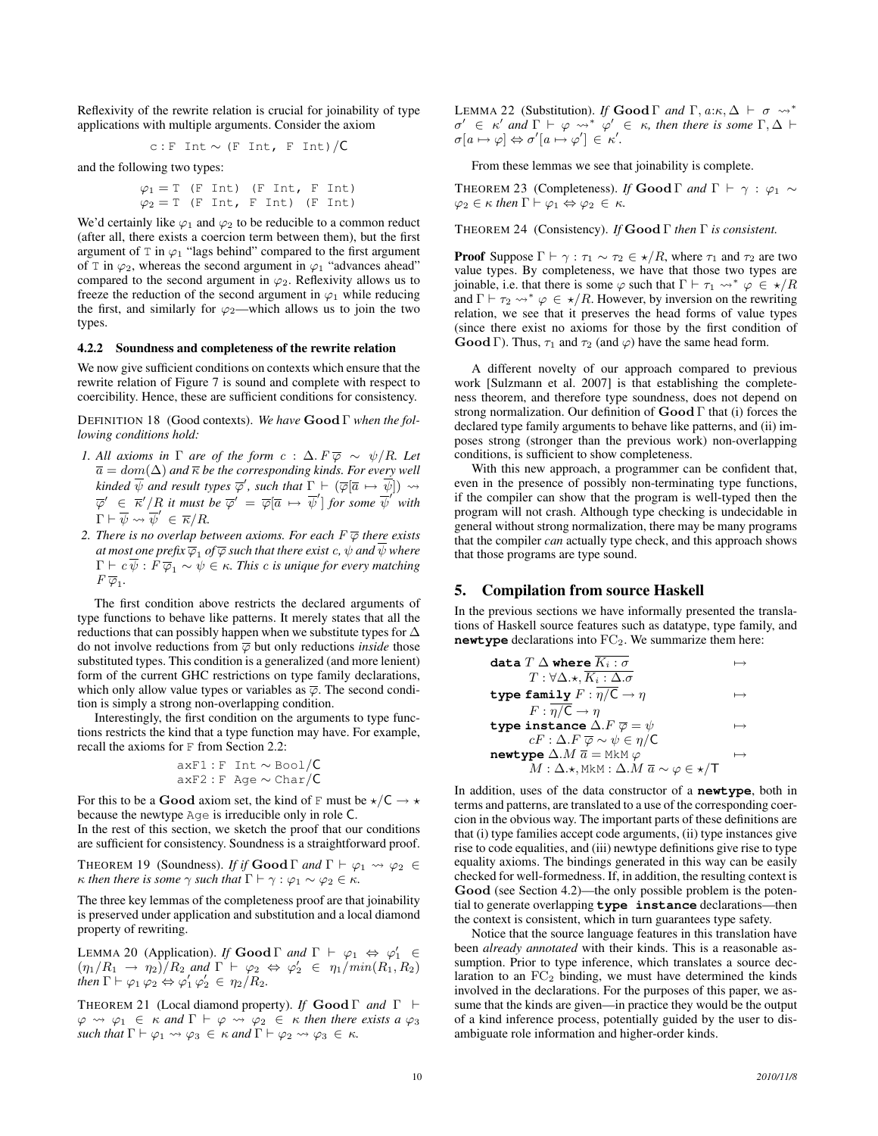Reflexivity of the rewrite relation is crucial for joinability of type applications with multiple arguments. Consider the axiom

c: F Int 
$$
\sim
$$
 (F Int, F Int)/C

and the following two types:

$$
\varphi_1 = T \text{ (F Int)} \text{ (F Int, F Int)}
$$
  

$$
\varphi_2 = T \text{ (F Int, F Int)} \text{ (F Int)}
$$

We'd certainly like  $\varphi_1$  and  $\varphi_2$  to be reducible to a common reduct (after all, there exists a coercion term between them), but the first argument of  $T$  in  $\varphi_1$  "lags behind" compared to the first argument of T in  $\varphi_2$ , whereas the second argument in  $\varphi_1$  "advances ahead" compared to the second argument in  $\varphi_2$ . Reflexivity allows us to freeze the reduction of the second argument in  $\varphi_1$  while reducing the first, and similarly for  $\varphi_2$ —which allows us to join the two types.

#### 4.2.2 Soundness and completeness of the rewrite relation

We now give sufficient conditions on contexts which ensure that the rewrite relation of Figure 7 is sound and complete with respect to coercibility. Hence, these are sufficient conditions for consistency.

DEFINITION 18 (Good contexts). *We have* Good Γ *when the following conditions hold:*

- *1.* All axioms in  $\Gamma$  are of the form  $c : \Delta$ .  $F \overline{\varphi} \sim \psi/R$ . Let  $\overline{a} = dom(\Delta)$  *and*  $\overline{\kappa}$  *be the corresponding kinds. For every well kinded*  $\overline{\psi}$  *and result types*  $\overline{\varphi}'$ *, such that*  $\Gamma \vdash (\overline{\varphi}[\overline{a} \mapsto \overline{\psi}]) \leadsto$  $\overline{\varphi}' \in \overline{\kappa}'/R$  it must be  $\overline{\varphi}' = \overline{\varphi}[\overline{a} \mapsto \overline{\psi}']$  for some  $\overline{\psi}'$  with  $\Gamma \vdash \overline{\psi} \leadsto \overline{\psi}' \in \overline{\kappa}/R.$
- *2. There is no overlap between axioms. For each*  $F \overline{\varphi}$  *there exists* at most one prefix  $\overline{\varphi}_1$  of  $\overline{\varphi}$  such that there exist  $c, \psi$  and  $\psi$  where  $\Gamma \vdash c \overline{\psi} : F \overline{\varphi}_1 \sim \psi \in \kappa$ . This c is unique for every matching  $F \overline{\varphi}_1$ .

The first condition above restricts the declared arguments of type functions to behave like patterns. It merely states that all the reductions that can possibly happen when we substitute types for ∆ do not involve reductions from  $\overline{\varphi}$  but only reductions *inside* those substituted types. This condition is a generalized (and more lenient) form of the current GHC restrictions on type family declarations, which only allow value types or variables as  $\overline{\varphi}$ . The second condition is simply a strong non-overlapping condition.

Interestingly, the first condition on the arguments to type functions restricts the kind that a type function may have. For example, recall the axioms for F from Section 2.2:

$$
axF1: F Int \sim \text{Bool}/C
$$

$$
axF2: F Age \sim Char/C
$$

For this to be a Good axiom set, the kind of F must be  $\star$ /C  $\to \star$ because the newtype Age is irreducible only in role C.

In the rest of this section, we sketch the proof that our conditions are sufficient for consistency. Soundness is a straightforward proof.

THEOREM 19 (Soundness). *If if* **Good**  $\Gamma$  *and*  $\Gamma \vdash \varphi_1 \leadsto \varphi_2 \in \Theta$  $\kappa$  *then there is some*  $\gamma$  *such that*  $\Gamma \vdash \gamma : \varphi_1 \sim \varphi_2 \in \kappa$ *.* 

The three key lemmas of the completeness proof are that joinability is preserved under application and substitution and a local diamond property of rewriting.

LEMMA 20 (Application). *If* **Good**  $\Gamma$  *and*  $\Gamma$   $\vdash \varphi_1 \Leftrightarrow \varphi'_1 \in$  $(\eta_1/R_1 \rightarrow \eta_2)/R_2$  and  $\Gamma \vdash \varphi_2 \Leftrightarrow \varphi_2' \in \eta_1/min(R_1, R_2)$ *then*  $\Gamma \vdash \varphi_1 \varphi_2 \Leftrightarrow \varphi_1' \varphi_2' \in \eta_2/R_2$ .

THEOREM 21 (Local diamond property). *If* Good Γ *and* Γ `  $\varphi \rightsquigarrow \varphi_1 \in \kappa$  and  $\Gamma \vdash \varphi \rightsquigarrow \varphi_2 \in \kappa$  then there exists a  $\varphi_3$ *such that*  $\Gamma \vdash \varphi_1 \leadsto \varphi_3 \in \kappa$  *and*  $\Gamma \vdash \varphi_2 \leadsto \varphi_3 \in \kappa$ *.* 

LEMMA 22 (Substitution). *If* Good Γ *and* Γ,  $a:\kappa, \Delta \vdash \sigma \leadsto^*$  $\sigma' \in \kappa'$  and  $\Gamma \vdash \varphi \leadsto^* \varphi' \in \kappa$ , then there is some  $\Gamma, \Delta \vdash$  $\sigma[a \mapsto \varphi] \Leftrightarrow \sigma'[a \mapsto \varphi'] \in \kappa'.$ 

From these lemmas we see that joinability is complete.

THEOREM 23 (Completeness). *If* Good  $\Gamma$  *and*  $\Gamma \vdash \gamma : \varphi_1 \sim$  $\varphi_2 \in \kappa$  *then*  $\Gamma \vdash \varphi_1 \Leftrightarrow \varphi_2 \in \kappa$ .

THEOREM 24 (Consistency). *If* Good Γ *then* Γ *is consistent.*

**Proof** Suppose  $\Gamma \vdash \gamma : \tau_1 \sim \tau_2 \in \star/R$ , where  $\tau_1$  and  $\tau_2$  are two value types. By completeness, we have that those two types are joinable, i.e. that there is some  $\varphi$  such that  $\Gamma \vdash \tau_1 \leadsto^* \varphi \in \star/R$ and  $\Gamma \vdash \tau_2 \leadsto^* \varphi \in \star/R$ . However, by inversion on the rewriting relation, we see that it preserves the head forms of value types (since there exist no axioms for those by the first condition of **Good** Γ). Thus,  $\tau_1$  and  $\tau_2$  (and  $\varphi$ ) have the same head form.

A different novelty of our approach compared to previous work [Sulzmann et al. 2007] is that establishing the completeness theorem, and therefore type soundness, does not depend on strong normalization. Our definition of  $\mathbf{Good} \Gamma$  that (i) forces the declared type family arguments to behave like patterns, and (ii) imposes strong (stronger than the previous work) non-overlapping conditions, is sufficient to show completeness.

With this new approach, a programmer can be confident that, even in the presence of possibly non-terminating type functions, if the compiler can show that the program is well-typed then the program will not crash. Although type checking is undecidable in general without strong normalization, there may be many programs that the compiler *can* actually type check, and this approach shows that those programs are type sound.

# 5. Compilation from source Haskell

In the previous sections we have informally presented the translations of Haskell source features such as datatype, type family, and newtype declarations into FC<sub>2</sub>. We summarize them here:

$$
\begin{array}{ll}\n\text{data } T \; \Delta \; \text{where } \overline{K_i : \sigma} & \mapsto \\ \nT : \forall \Delta . \star, \overline{K_i : \Delta . \sigma} & \downarrow \rightarrow \\ \n\text{type } \text{family } F : \overline{\eta / C} \to \eta & \mapsto \\ \nF : \overline{\eta / C} \to \eta & \downarrow \text{type } \text{ instance } \Delta . F \; \overline{\varphi} = \psi & \mapsto \\ \n\text{CF} : \Delta . F \; \overline{\varphi} \sim \psi \in \eta / C & \text{newtype } \Delta . M \; \overline{a} = \text{MkM } \varphi & \mapsto \\ \nM : \Delta . \star, \text{MkM} : \Delta . M \; \overline{a} \sim \varphi \in \star / T & \end{array}
$$

In addition, uses of the data constructor of a **newtype**, both in terms and patterns, are translated to a use of the corresponding coercion in the obvious way. The important parts of these definitions are that (i) type families accept code arguments, (ii) type instances give rise to code equalities, and (iii) newtype definitions give rise to type equality axioms. The bindings generated in this way can be easily checked for well-formedness. If, in addition, the resulting context is Good (see Section 4.2)—the only possible problem is the potential to generate overlapping **type instance** declarations—then the context is consistent, which in turn guarantees type safety.

Notice that the source language features in this translation have been *already annotated* with their kinds. This is a reasonable assumption. Prior to type inference, which translates a source declaration to an  $FC_2$  binding, we must have determined the kinds involved in the declarations. For the purposes of this paper, we assume that the kinds are given—in practice they would be the output of a kind inference process, potentially guided by the user to disambiguate role information and higher-order kinds.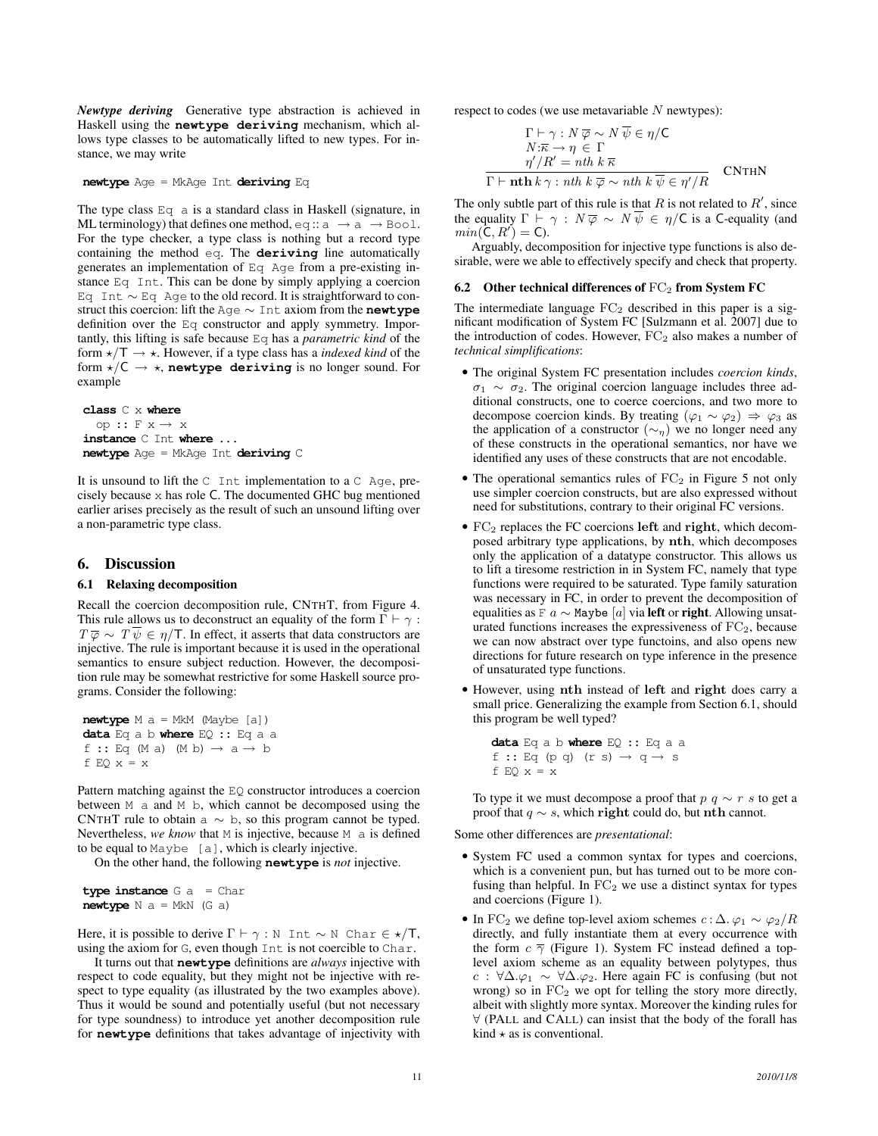*Newtype deriving* Generative type abstraction is achieved in Haskell using the **newtype deriving** mechanism, which allows type classes to be automatically lifted to new types. For instance, we may write

**newtype** Age = MkAge Int **deriving** Eq

The type class Eq a is a standard class in Haskell (signature, in ML terminology) that defines one method, eq ::  $a \rightarrow a \rightarrow$  Bool. For the type checker, a type class is nothing but a record type containing the method eq. The **deriving** line automatically generates an implementation of Eq Age from a pre-existing instance Eq Int. This can be done by simply applying a coercion Eq Int ∼ Eq Age to the old record. It is straightforward to construct this coercion: lift the Age ∼ Int axiom from the **newtype** definition over the Eq constructor and apply symmetry. Importantly, this lifting is safe because Eq has a *parametric kind* of the form  $\star/T \to \star$ . However, if a type class has a *indexed kind* of the form  $\star$ /C  $\to \star$ , **newtype deriving** is no longer sound. For example

**class** C x **where** op :: F x → x **instance** C Int **where** ... **newtype** Age = MkAge Int **deriving** C

It is unsound to lift the  $C$  Int implementation to a  $C$  Age, precisely because x has role C. The documented GHC bug mentioned earlier arises precisely as the result of such an unsound lifting over a non-parametric type class.

## 6. Discussion

#### 6.1 Relaxing decomposition

Recall the coercion decomposition rule, CNTHT, from Figure 4. This rule allows us to deconstruct an equality of the form  $\Gamma \vdash \gamma$ :  $T \overline{\varphi} \sim T \psi \in \eta/T$ . In effect, it asserts that data constructors are injective. The rule is important because it is used in the operational semantics to ensure subject reduction. However, the decomposition rule may be somewhat restrictive for some Haskell source programs. Consider the following:

**newtype** M a = MkM (Maybe [a]) **data** Eq a b **where** EQ :: Eq a a f :: Eq (M a) (M b)  $\rightarrow$  a  $\rightarrow$  b f EQ  $x = x$ 

Pattern matching against the EQ constructor introduces a coercion between M a and M b, which cannot be decomposed using the CNTHT rule to obtain a  $\sim$  b, so this program cannot be typed. Nevertheless, *we know* that M is injective, because M a is defined to be equal to  $\text{Maybe } [a]$ , which is clearly injective.

On the other hand, the following **newtype** is *not* injective.

**type instance** G a = Char **newtype** N a = MkN (G a)

Here, it is possible to derive  $\Gamma \vdash \gamma : \mathbb{N}$  Int ~ N Char  $\in \star/\mathsf{T}$ , using the axiom for G, even though Int is not coercible to Char.

It turns out that **newtype** definitions are *always* injective with respect to code equality, but they might not be injective with respect to type equality (as illustrated by the two examples above). Thus it would be sound and potentially useful (but not necessary for type soundness) to introduce yet another decomposition rule for **newtype** definitions that takes advantage of injectivity with respect to codes (we use metavariable  $N$  newtypes):

$$
\Gamma \vdash \gamma : N \overline{\varphi} \sim N \overline{\psi} \in \eta / C
$$
\n
$$
N: \overline{\kappa} \to \eta \in \Gamma
$$
\n
$$
\eta'/R' = nth \; k \; \overline{\kappa}
$$
\n
$$
\Gamma \vdash \mathbf{nth} \; k \; \gamma : nth \; k \; \overline{\varphi} \sim nth \; k \; \overline{\psi} \in \eta'/R
$$
\n
$$
\Gamma \vdash \mathbf{nth} \; k \; \gamma : nth \; k \; \overline{\varphi} \sim nth \; k \; \overline{\psi} \in \eta'/R
$$

The only subtle part of this rule is that  $R$  is not related to  $R'$ , since the equality  $\Gamma \vdash \gamma : N \overline{\varphi} \sim N \overline{\psi} \in \eta / C$  is a C-equality (and  $min(\mathbf{C}, R') = \mathbf{C}$ .

Arguably, decomposition for injective type functions is also desirable, were we able to effectively specify and check that property.

#### 6.2 Other technical differences of  $FC<sub>2</sub>$  from System FC

The intermediate language  $FC<sub>2</sub>$  described in this paper is a significant modification of System FC [Sulzmann et al. 2007] due to the introduction of codes. However,  $FC<sub>2</sub>$  also makes a number of *technical simplifications*:

- The original System FC presentation includes *coercion kinds*,  $\sigma_1 \sim \sigma_2$ . The original coercion language includes three additional constructs, one to coerce coercions, and two more to decompose coercion kinds. By treating  $(\varphi_1 \sim \varphi_2) \Rightarrow \varphi_3$  as the application of a constructor ( $\sim_{\eta}$ ) we no longer need any of these constructs in the operational semantics, nor have we identified any uses of these constructs that are not encodable.
- The operational semantics rules of  $FC<sub>2</sub>$  in Figure 5 not only use simpler coercion constructs, but are also expressed without need for substitutions, contrary to their original FC versions.
- $\bullet$  FC<sub>2</sub> replaces the FC coercions left and right, which decomposed arbitrary type applications, by nth, which decomposes only the application of a datatype constructor. This allows us to lift a tiresome restriction in in System FC, namely that type functions were required to be saturated. Type family saturation was necessary in FC, in order to prevent the decomposition of equalities as F  $a \sim$  Maybe [a] via left or right. Allowing unsaturated functions increases the expressiveness of  $FC<sub>2</sub>$ , because we can now abstract over type functoins, and also opens new directions for future research on type inference in the presence of unsaturated type functions.
- However, using nth instead of left and right does carry a small price. Generalizing the example from Section 6.1, should this program be well typed?

**data** Eq a b **where** EQ :: Eq a a f :: Eq (p q) (r s)  $\rightarrow$  q  $\rightarrow$  s f EQ  $x = x$ 

To type it we must decompose a proof that  $p \, q \sim r \, s$  to get a proof that  $q \sim s$ , which right could do, but nth cannot.

Some other differences are *presentational*:

- System FC used a common syntax for types and coercions, which is a convenient pun, but has turned out to be more confusing than helpful. In  $FC_2$  we use a distinct syntax for types and coercions (Figure 1).
- In FC<sub>2</sub> we define top-level axiom schemes  $c : \Delta$ .  $\varphi_1 \sim \varphi_2 / R$ directly, and fully instantiate them at every occurrence with the form  $c \overline{\gamma}$  (Figure 1). System FC instead defined a toplevel axiom scheme as an equality between polytypes, thus c :  $\forall \Delta . \varphi_1 \sim \forall \Delta . \varphi_2$ . Here again FC is confusing (but not wrong) so in  $FC<sub>2</sub>$  we opt for telling the story more directly, albeit with slightly more syntax. Moreover the kinding rules for ∀ (PALL and CALL) can insist that the body of the forall has kind  $\star$  as is conventional.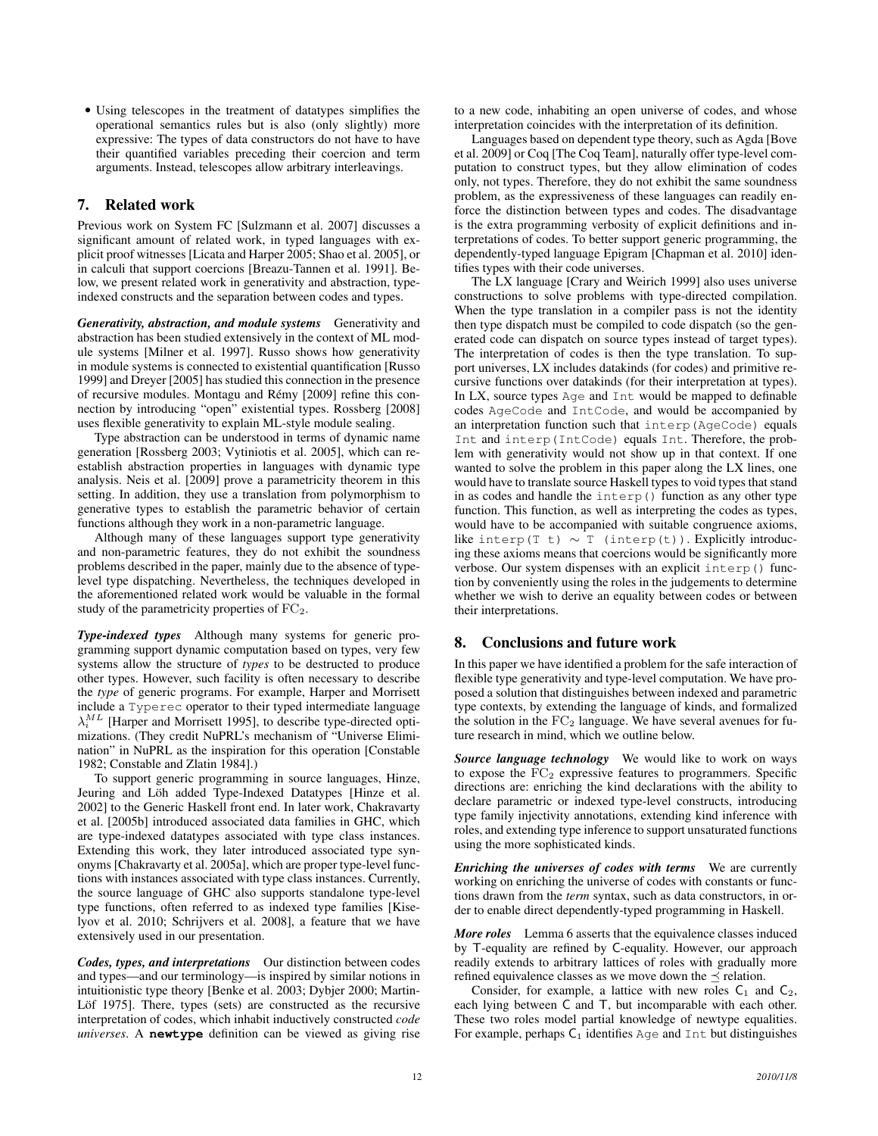• Using telescopes in the treatment of datatypes simplifies the operational semantics rules but is also (only slightly) more expressive: The types of data constructors do not have to have their quantified variables preceding their coercion and term arguments. Instead, telescopes allow arbitrary interleavings.

# 7. Related work

Previous work on System FC [Sulzmann et al. 2007] discusses a significant amount of related work, in typed languages with explicit proof witnesses [Licata and Harper 2005; Shao et al. 2005], or in calculi that support coercions [Breazu-Tannen et al. 1991]. Below, we present related work in generativity and abstraction, typeindexed constructs and the separation between codes and types.

*Generativity, abstraction, and module systems* Generativity and abstraction has been studied extensively in the context of ML module systems [Milner et al. 1997]. Russo shows how generativity in module systems is connected to existential quantification [Russo 1999] and Dreyer [2005] has studied this connection in the presence of recursive modules. Montagu and Rémy [2009] refine this connection by introducing "open" existential types. Rossberg [2008] uses flexible generativity to explain ML-style module sealing.

Type abstraction can be understood in terms of dynamic name generation [Rossberg 2003; Vytiniotis et al. 2005], which can reestablish abstraction properties in languages with dynamic type analysis. Neis et al. [2009] prove a parametricity theorem in this setting. In addition, they use a translation from polymorphism to generative types to establish the parametric behavior of certain functions although they work in a non-parametric language.

Although many of these languages support type generativity and non-parametric features, they do not exhibit the soundness problems described in the paper, mainly due to the absence of typelevel type dispatching. Nevertheless, the techniques developed in the aforementioned related work would be valuable in the formal study of the parametricity properties of  $FC_2$ .

*Type-indexed types* Although many systems for generic programming support dynamic computation based on types, very few systems allow the structure of *types* to be destructed to produce other types. However, such facility is often necessary to describe the *type* of generic programs. For example, Harper and Morrisett include a Typerec operator to their typed intermediate language  $\lambda_i^{ML}$  [Harper and Morrisett 1995], to describe type-directed optimizations. (They credit NuPRL's mechanism of "Universe Elimination" in NuPRL as the inspiration for this operation [Constable 1982; Constable and Zlatin 1984].)

To support generic programming in source languages, Hinze, Jeuring and Löh added Type-Indexed Datatypes [Hinze et al. 2002] to the Generic Haskell front end. In later work, Chakravarty et al. [2005b] introduced associated data families in GHC, which are type-indexed datatypes associated with type class instances. Extending this work, they later introduced associated type synonyms [Chakravarty et al. 2005a], which are proper type-level functions with instances associated with type class instances. Currently, the source language of GHC also supports standalone type-level type functions, often referred to as indexed type families [Kiselyov et al. 2010; Schrijvers et al. 2008], a feature that we have extensively used in our presentation.

*Codes, types, and interpretations* Our distinction between codes and types—and our terminology—is inspired by similar notions in intuitionistic type theory [Benke et al. 2003; Dybjer 2000; Martin-Löf 1975]. There, types (sets) are constructed as the recursive interpretation of codes, which inhabit inductively constructed *code universes*. A **newtype** definition can be viewed as giving rise to a new code, inhabiting an open universe of codes, and whose interpretation coincides with the interpretation of its definition.

Languages based on dependent type theory, such as Agda [Bove et al. 2009] or Coq [The Coq Team], naturally offer type-level computation to construct types, but they allow elimination of codes only, not types. Therefore, they do not exhibit the same soundness problem, as the expressiveness of these languages can readily enforce the distinction between types and codes. The disadvantage is the extra programming verbosity of explicit definitions and interpretations of codes. To better support generic programming, the dependently-typed language Epigram [Chapman et al. 2010] identifies types with their code universes.

The LX language [Crary and Weirich 1999] also uses universe constructions to solve problems with type-directed compilation. When the type translation in a compiler pass is not the identity then type dispatch must be compiled to code dispatch (so the generated code can dispatch on source types instead of target types). The interpretation of codes is then the type translation. To support universes, LX includes datakinds (for codes) and primitive recursive functions over datakinds (for their interpretation at types). In LX, source types Age and Int would be mapped to definable codes AgeCode and IntCode, and would be accompanied by an interpretation function such that interp(AgeCode) equals Int and interp(IntCode) equals Int. Therefore, the problem with generativity would not show up in that context. If one wanted to solve the problem in this paper along the LX lines, one would have to translate source Haskell types to void types that stand in as codes and handle the  $\text{interp}()$  function as any other type function. This function, as well as interpreting the codes as types, would have to be accompanied with suitable congruence axioms, like interp(T t)  $\sim$  T (interp(t)). Explicitly introducing these axioms means that coercions would be significantly more verbose. Our system dispenses with an explicit interp() function by conveniently using the roles in the judgements to determine whether we wish to derive an equality between codes or between their interpretations.

# 8. Conclusions and future work

In this paper we have identified a problem for the safe interaction of flexible type generativity and type-level computation. We have proposed a solution that distinguishes between indexed and parametric type contexts, by extending the language of kinds, and formalized the solution in the  $FC<sub>2</sub>$  language. We have several avenues for future research in mind, which we outline below.

*Source language technology* We would like to work on ways to expose the  $FC<sub>2</sub>$  expressive features to programmers. Specific directions are: enriching the kind declarations with the ability to declare parametric or indexed type-level constructs, introducing type family injectivity annotations, extending kind inference with roles, and extending type inference to support unsaturated functions using the more sophisticated kinds.

*Enriching the universes of codes with terms* We are currently working on enriching the universe of codes with constants or functions drawn from the *term* syntax, such as data constructors, in order to enable direct dependently-typed programming in Haskell.

*More roles* Lemma 6 asserts that the equivalence classes induced by T-equality are refined by C-equality. However, our approach readily extends to arbitrary lattices of roles with gradually more refined equivalence classes as we move down the  $\preceq$  relation.

Consider, for example, a lattice with new roles  $C_1$  and  $C_2$ , each lying between C and T, but incomparable with each other. These two roles model partial knowledge of newtype equalities. For example, perhaps  $C_1$  identifies Age and Int but distinguishes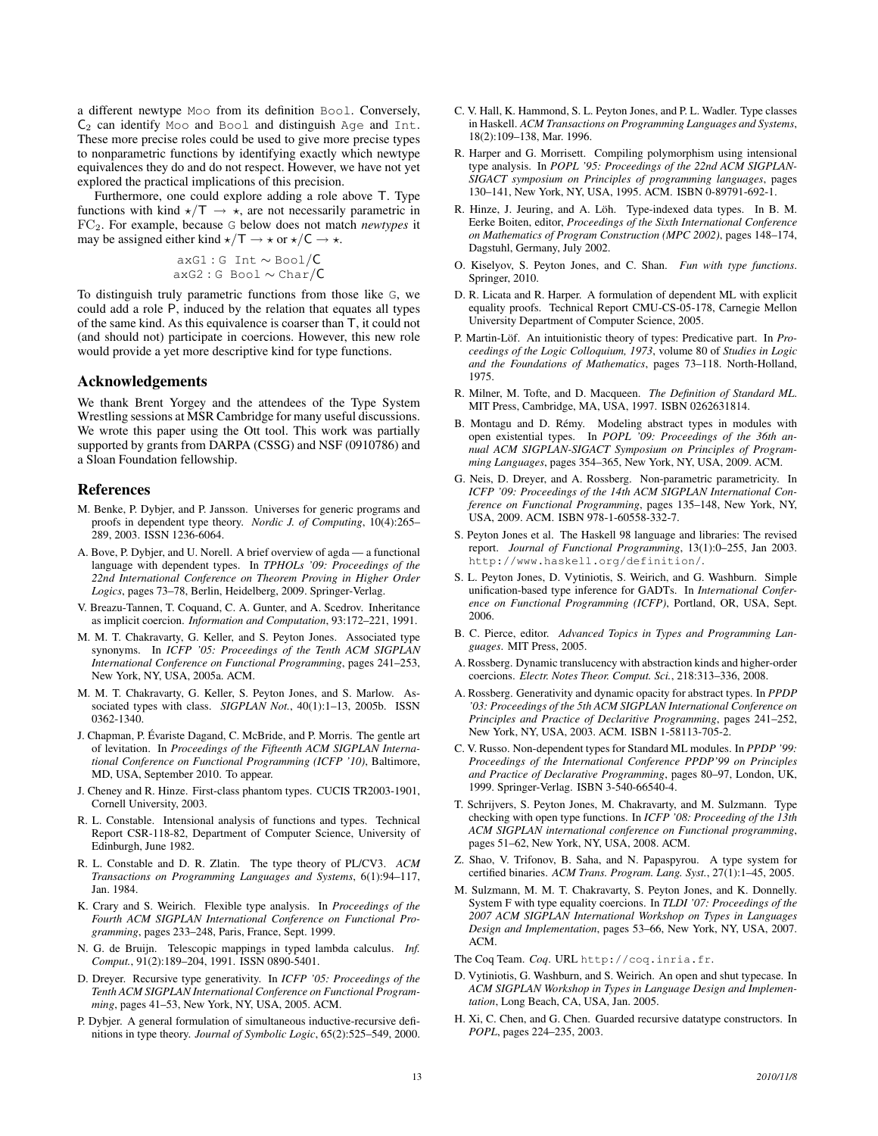a different newtype Moo from its definition Bool. Conversely,  $C_2$  can identify Moo and Bool and distinguish Age and Int. These more precise roles could be used to give more precise types to nonparametric functions by identifying exactly which newtype equivalences they do and do not respect. However, we have not yet explored the practical implications of this precision.

Furthermore, one could explore adding a role above T. Type functions with kind  $\star/T \rightarrow \star$ , are not necessarily parametric in FC2. For example, because G below does not match *newtypes* it may be assigned either kind  $\star/T \to \star$  or  $\star/C \to \star$ .

$$
axG1:GInt \sim \text{Bool}/C
$$
  

$$
axG2:GBool \sim Char/C
$$

To distinguish truly parametric functions from those like G, we could add a role P, induced by the relation that equates all types of the same kind. As this equivalence is coarser than T, it could not (and should not) participate in coercions. However, this new role would provide a yet more descriptive kind for type functions.

#### Acknowledgements

We thank Brent Yorgey and the attendees of the Type System Wrestling sessions at MSR Cambridge for many useful discussions. We wrote this paper using the Ott tool. This work was partially supported by grants from DARPA (CSSG) and NSF (0910786) and a Sloan Foundation fellowship.

## References

- M. Benke, P. Dybjer, and P. Jansson. Universes for generic programs and proofs in dependent type theory. *Nordic J. of Computing*, 10(4):265– 289, 2003. ISSN 1236-6064.
- A. Bove, P. Dybjer, and U. Norell. A brief overview of agda a functional language with dependent types. In *TPHOLs '09: Proceedings of the 22nd International Conference on Theorem Proving in Higher Order Logics*, pages 73–78, Berlin, Heidelberg, 2009. Springer-Verlag.
- V. Breazu-Tannen, T. Coquand, C. A. Gunter, and A. Scedrov. Inheritance as implicit coercion. *Information and Computation*, 93:172–221, 1991.
- M. M. T. Chakravarty, G. Keller, and S. Peyton Jones. Associated type synonyms. In *ICFP '05: Proceedings of the Tenth ACM SIGPLAN International Conference on Functional Programming*, pages 241–253, New York, NY, USA, 2005a. ACM.
- M. M. T. Chakravarty, G. Keller, S. Peyton Jones, and S. Marlow. Associated types with class. *SIGPLAN Not.*, 40(1):1–13, 2005b. ISSN 0362-1340.
- J. Chapman, P. Evariste Dagand, C. McBride, and P. Morris. The gentle art ´ of levitation. In *Proceedings of the Fifteenth ACM SIGPLAN International Conference on Functional Programming (ICFP '10)*, Baltimore, MD, USA, September 2010. To appear.
- J. Cheney and R. Hinze. First-class phantom types. CUCIS TR2003-1901, Cornell University, 2003.
- R. L. Constable. Intensional analysis of functions and types. Technical Report CSR-118-82, Department of Computer Science, University of Edinburgh, June 1982.
- R. L. Constable and D. R. Zlatin. The type theory of PL/CV3. *ACM Transactions on Programming Languages and Systems*, 6(1):94–117, Jan. 1984.
- K. Crary and S. Weirich. Flexible type analysis. In *Proceedings of the Fourth ACM SIGPLAN International Conference on Functional Programming*, pages 233–248, Paris, France, Sept. 1999.
- N. G. de Bruijn. Telescopic mappings in typed lambda calculus. *Inf. Comput.*, 91(2):189–204, 1991. ISSN 0890-5401.
- D. Dreyer. Recursive type generativity. In *ICFP '05: Proceedings of the Tenth ACM SIGPLAN International Conference on Functional Programming*, pages 41–53, New York, NY, USA, 2005. ACM.
- P. Dybjer. A general formulation of simultaneous inductive-recursive definitions in type theory. *Journal of Symbolic Logic*, 65(2):525–549, 2000.
- C. V. Hall, K. Hammond, S. L. Peyton Jones, and P. L. Wadler. Type classes in Haskell. *ACM Transactions on Programming Languages and Systems*, 18(2):109–138, Mar. 1996.
- R. Harper and G. Morrisett. Compiling polymorphism using intensional type analysis. In *POPL '95: Proceedings of the 22nd ACM SIGPLAN-SIGACT symposium on Principles of programming languages*, pages 130–141, New York, NY, USA, 1995. ACM. ISBN 0-89791-692-1.
- R. Hinze, J. Jeuring, and A. Löh. Type-indexed data types. In B. M. Eerke Boiten, editor, *Proceedings of the Sixth International Conference on Mathematics of Program Construction (MPC 2002)*, pages 148–174, Dagstuhl, Germany, July 2002.
- O. Kiselyov, S. Peyton Jones, and C. Shan. *Fun with type functions*. Springer, 2010.
- D. R. Licata and R. Harper. A formulation of dependent ML with explicit equality proofs. Technical Report CMU-CS-05-178, Carnegie Mellon University Department of Computer Science, 2005.
- P. Martin-Löf. An intuitionistic theory of types: Predicative part. In Pro*ceedings of the Logic Colloquium, 1973*, volume 80 of *Studies in Logic and the Foundations of Mathematics*, pages 73–118. North-Holland, 1975.
- R. Milner, M. Tofte, and D. Macqueen. *The Definition of Standard ML*. MIT Press, Cambridge, MA, USA, 1997. ISBN 0262631814.
- B. Montagu and D. Rémy. Modeling abstract types in modules with open existential types. In *POPL '09: Proceedings of the 36th annual ACM SIGPLAN-SIGACT Symposium on Principles of Programming Languages*, pages 354–365, New York, NY, USA, 2009. ACM.
- G. Neis, D. Dreyer, and A. Rossberg. Non-parametric parametricity. In *ICFP '09: Proceedings of the 14th ACM SIGPLAN International Conference on Functional Programming*, pages 135–148, New York, NY, USA, 2009. ACM. ISBN 978-1-60558-332-7.
- S. Peyton Jones et al. The Haskell 98 language and libraries: The revised report. *Journal of Functional Programming*, 13(1):0–255, Jan 2003. http://www.haskell.org/definition/.
- S. L. Peyton Jones, D. Vytiniotis, S. Weirich, and G. Washburn. Simple unification-based type inference for GADTs. In *International Conference on Functional Programming (ICFP)*, Portland, OR, USA, Sept. 2006.
- B. C. Pierce, editor. *Advanced Topics in Types and Programming Languages*. MIT Press, 2005.
- A. Rossberg. Dynamic translucency with abstraction kinds and higher-order coercions. *Electr. Notes Theor. Comput. Sci.*, 218:313–336, 2008.
- A. Rossberg. Generativity and dynamic opacity for abstract types. In *PPDP '03: Proceedings of the 5th ACM SIGPLAN International Conference on Principles and Practice of Declaritive Programming*, pages 241–252, New York, NY, USA, 2003. ACM. ISBN 1-58113-705-2.
- C. V. Russo. Non-dependent types for Standard ML modules. In *PPDP '99: Proceedings of the International Conference PPDP'99 on Principles and Practice of Declarative Programming*, pages 80–97, London, UK, 1999. Springer-Verlag. ISBN 3-540-66540-4.
- T. Schrijvers, S. Peyton Jones, M. Chakravarty, and M. Sulzmann. Type checking with open type functions. In *ICFP '08: Proceeding of the 13th ACM SIGPLAN international conference on Functional programming*, pages 51–62, New York, NY, USA, 2008. ACM.
- Z. Shao, V. Trifonov, B. Saha, and N. Papaspyrou. A type system for certified binaries. *ACM Trans. Program. Lang. Syst.*, 27(1):1–45, 2005.
- M. Sulzmann, M. M. T. Chakravarty, S. Peyton Jones, and K. Donnelly. System F with type equality coercions. In *TLDI '07: Proceedings of the 2007 ACM SIGPLAN International Workshop on Types in Languages Design and Implementation*, pages 53–66, New York, NY, USA, 2007. ACM.

The Coq Team. *Coq*. URL http://coq.inria.fr.

- D. Vytiniotis, G. Washburn, and S. Weirich. An open and shut typecase. In *ACM SIGPLAN Workshop in Types in Language Design and Implementation*, Long Beach, CA, USA, Jan. 2005.
- H. Xi, C. Chen, and G. Chen. Guarded recursive datatype constructors. In *POPL*, pages 224–235, 2003.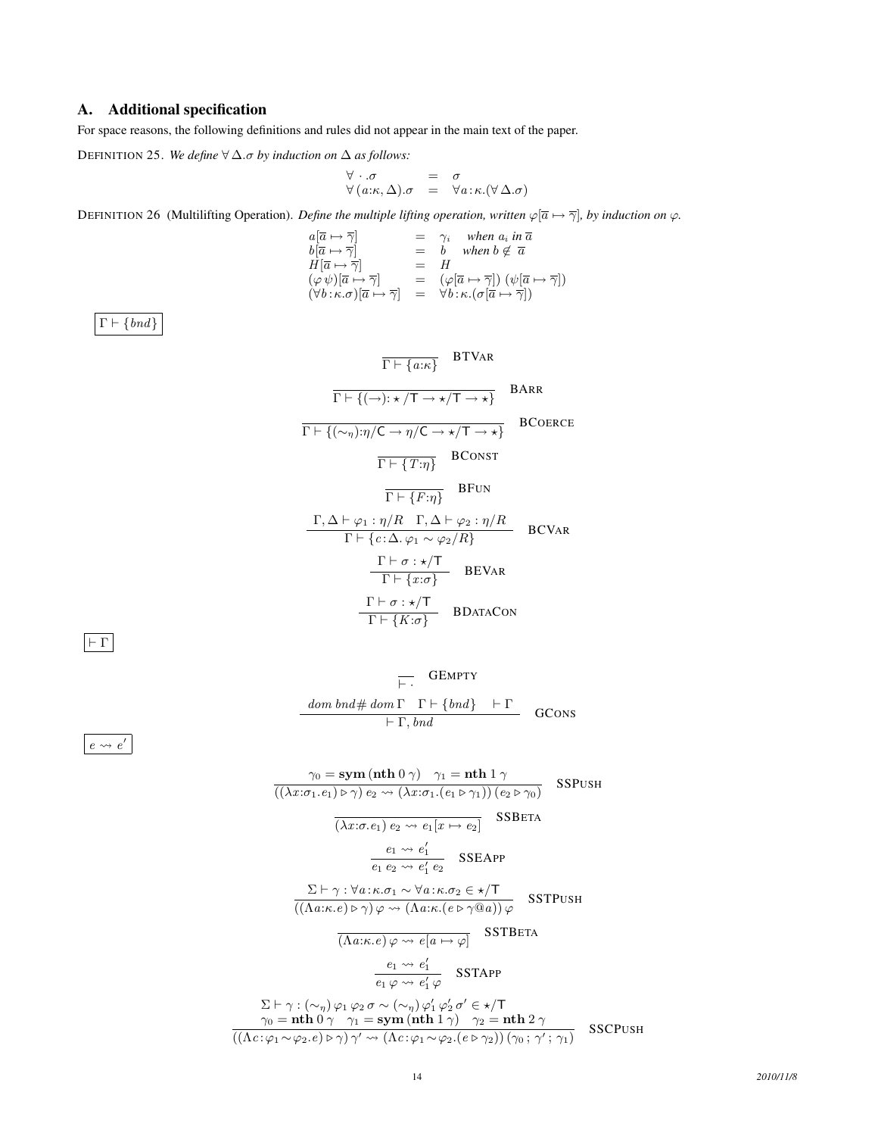# A. Additional specification

For space reasons, the following definitions and rules did not appear in the main text of the paper.

DEFINITION 25. *We define* ∀ ∆.σ *by induction on* ∆ *as follows:*

$$
\begin{array}{rcl}\n\forall \cdot .\sigma & = & \sigma \\
\forall (a:\kappa,\Delta).\sigma & = & \forall a:\kappa.(\forall \Delta.\sigma)\n\end{array}
$$

DEFINITION 26 (Multilifting Operation). *Define the multiple lifting operation, written*  $\varphi[\overline{a} \mapsto \overline{\gamma}]$ *, by induction on*  $\varphi$ *.* 

$$
\begin{array}{llll} a[\overline{a}\mapsto \overline{\gamma}] & = & \gamma_i \quad when\; a_i \; in\; \overline{a} \\ b[\overline{a}\mapsto \overline{\gamma}] & = & b \quad when\; b \not\in \; \overline{a} \\ H[\overline{a}\mapsto \overline{\gamma}] & = & H \\ (\varphi\,\psi)[\overline{a}\mapsto \overline{\gamma}] & = & (\varphi[\overline{a}\mapsto \overline{\gamma}]) \; (\psi[\overline{a}\mapsto \overline{\gamma}]) \\ (\forall b\!:\!\kappa.\sigma)[\overline{a}\mapsto \overline{\gamma}] & = & \forall b\!:\!\kappa.(\sigma[\overline{a}\mapsto \overline{\gamma}]) \end{array}
$$

 $\Gamma \vdash \{\mathit{bnd}\}$ 

$$
\frac{\Gamma \vdash \{a:\kappa\}}{\Gamma \vdash \{(\neg): \star/T \to \star/T \to \star\}} \quad \text{BARR}
$$
\n
$$
\frac{\Gamma \vdash \{(\neg): \star/T \to \star/T \to \star\}}{\Gamma \vdash \{(\sim_{\eta}): \eta/C \to \eta/C \to \star/T \to \star\}} \quad \text{BCoERCE}
$$
\n
$$
\frac{\Gamma \vdash \{T:\eta\}}{\Gamma \vdash \{F:\eta\}} \quad \text{BFUN}
$$
\n
$$
\frac{\Gamma, \Delta \vdash \varphi_1 : \eta/R \quad \Gamma, \Delta \vdash \varphi_2 : \eta/R}{\Gamma \vdash \{c : \Delta, \varphi_1 \sim \varphi_2/R\}} \quad \text{BCVAR}
$$
\n
$$
\frac{\Gamma \vdash \sigma : \star/T}{\Gamma \vdash \{x : \sigma\}} \quad \text{BEVaR}
$$
\n
$$
\frac{\Gamma \vdash \sigma : \star/T}{\Gamma \vdash \{K : \sigma\}} \quad \text{BDATACON}
$$

 $\boxed{\vdash \Gamma}$ 

$$
\overline{\vdash} \cdot \begin{array}{cc} \text{GEMPTY} \\ \text{dom } bnd \# \text{ dom } \Gamma & \Gamma \vdash \{bnd\} & \vdash \Gamma \\ \text{ $\vdash \Gamma$, } bnd & & \text{GCons} \end{array}
$$

 $e \leadsto e'$ 

$$
\gamma_0 = \text{sym} \left(\text{nth } 0 \gamma\right) \quad \gamma_1 = \text{nth } 1 \gamma
$$
\n
$$
\overline{((\lambda x:\sigma_1.e_1) \triangleright \gamma) e_2 \leadsto (\lambda x:\sigma_1.(e_1 \triangleright \gamma_1))(e_2 \triangleright \gamma_0)}
$$
\n
$$
\overline{(\lambda x:\sigma.e_1) e_2 \leadsto e_1[x \mapsto e_2]}
$$
\n
$$
\text{SSETA}
$$
\n
$$
\frac{e_1 \leadsto e_1'}{e_1 e_2 \leadsto e_1' e_2}
$$
\n
$$
\text{SSEAPP}
$$
\n
$$
\frac{\Sigma \vdash \gamma : \forall a: \kappa.\sigma_1 \sim \forall a: \kappa.\sigma_2 \in \star/\mathsf{T}}{((\Lambda a:\kappa.e) \triangleright \gamma) \varphi \leadsto (\Lambda a:\kappa.(e \triangleright \gamma @a)) \varphi}
$$
\n
$$
\overline{(\Lambda a:\kappa.e) \varphi \leadsto e[a \mapsto \varphi]}
$$
\n
$$
\frac{e_1 \leadsto e_1'}{e_1 \varphi \leadsto e_1' \varphi}
$$
\n
$$
\Sigma \vdash \gamma : (\sim_{\eta}) \varphi_1 \varphi_2 \sigma \sim (\sim_{\eta}) \varphi_1' \varphi_2' \sigma' \in \star/\mathsf{T}
$$
\n
$$
\gamma_0 = \text{nth } 0 \gamma \quad \gamma_1 = \text{sym} \left(\text{nth } 1 \gamma\right) \quad \gamma_2 = \text{nth } 2 \gamma
$$
\n
$$
\overline{((\Lambda c:\varphi_1 \sim \varphi_2.e) \triangleright \gamma) \gamma' \leadsto (\Lambda c:\varphi_1 \sim \varphi_2.(e \triangleright \gamma_2)) (\gamma_0; \gamma'; \gamma_1)}
$$
\n
$$
\text{SSCPUSH}
$$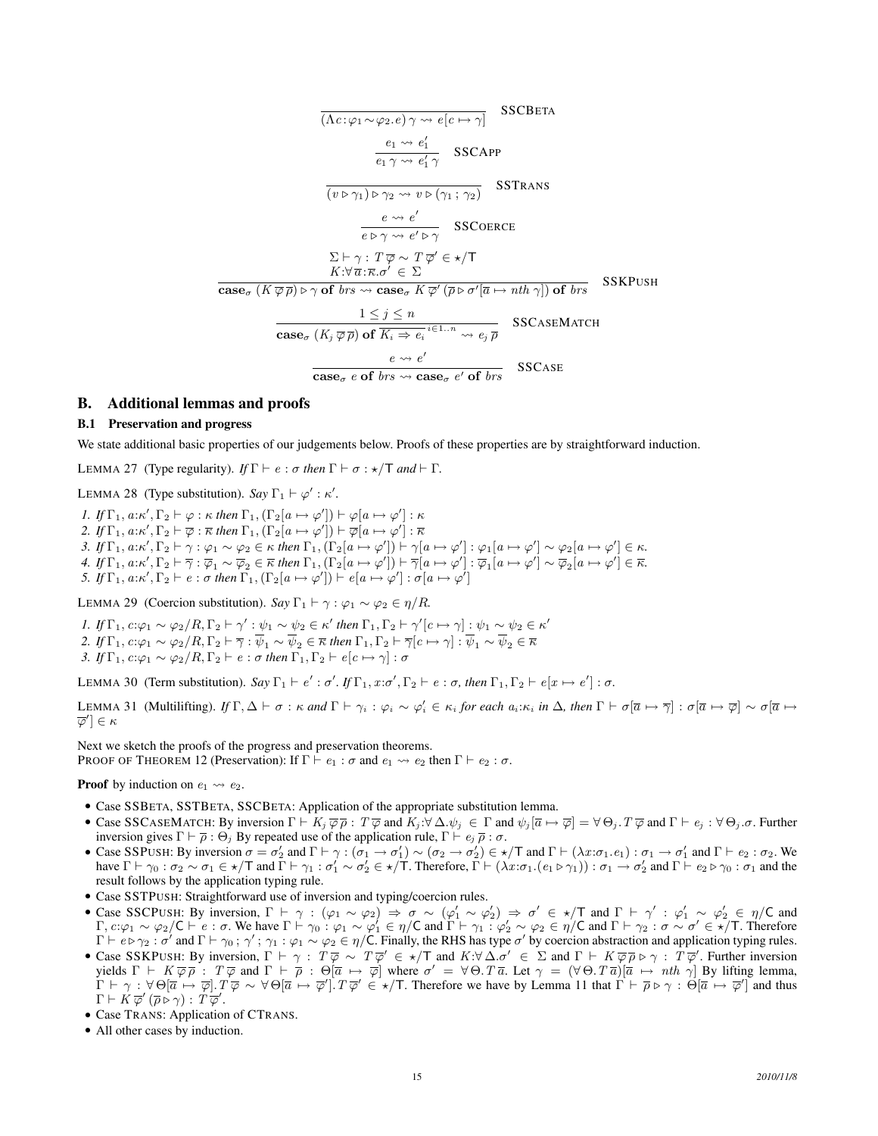$$
\frac{\overbrace{(Ac:\varphi_1\sim\varphi_2.e)\,\gamma\rightsquigarrow e[c\mapsto\gamma]}_{\varphi_1\sim\varphi_1\sim\varphi_1'} \quad \text{SSCBETA}
$$
\n
$$
\frac{e_1\rightsquigarrow e'_1}{e_1\,\gamma\rightsquigarrow e'_1\,\gamma} \quad \text{SSCAPP}
$$
\n
$$
\frac{e\rightsquigarrow e'}{e\triangleright\gamma\rightsquigarrow e'\triangleright\gamma} \quad \text{SSCTRANS}
$$
\n
$$
\frac{e\rightsquigarrow e'}{e\triangleright\gamma\rightsquigarrow e'\triangleright\gamma} \quad \text{SSCOERC}
$$
\n
$$
\Sigma\vdash\gamma:\ T\overline{\varphi}\sim T\overline{\varphi}'\in\star/T
$$
\n
$$
K:\forall\ \overline{a}:\overline{\kappa}.\sigma'\in\Sigma
$$
\n
$$
\text{case}_{\sigma}(K\overline{\varphi}\overline{\rho})\triangleright\gamma\text{ of } brs\rightsquigarrow\text{case}_{\sigma}K\overline{\varphi}'(\overline{\rho}\triangleright\sigma'[\overline{a}\mapsto nth\,\gamma])\text{ of } brs \quad \text{SSKPUSH}
$$
\n
$$
\frac{1\leq j\leq n}{\text{case}_{\sigma}(K_j\overline{\varphi}\overline{\rho})\text{ of }\overline{K_i\Rightarrow e_i}\stackrel{i\in1..n}{\leadsto} e_j\overline{\rho}} \quad \text{SSCASEMATCH}
$$
\n
$$
\frac{e\rightsquigarrow e'}{\text{case}_{\sigma}e\text{ of } brs\rightsquigarrow\text{case}_{\sigma}e'\text{ of } brs} \quad \text{SSCASE}
$$

## B. Additional lemmas and proofs

## B.1 Preservation and progress

We state additional basic properties of our judgements below. Proofs of these properties are by straightforward induction.

LEMMA 27 (Type regularity). *If*  $\Gamma \vdash e : \sigma$  *then*  $\Gamma \vdash \sigma : \star / \top$  *and*  $\vdash \Gamma$ .

LEMMA 28 (Type substitution). *Say*  $\Gamma_1 \vdash \varphi' : \kappa'.$ 

*1. If*  $\Gamma_1$ ,  $a:\kappa', \Gamma_2 \vdash \varphi : \kappa$  *then*  $\Gamma_1$ ,  $(\Gamma_2[a \mapsto \varphi']) \vdash \varphi[a \mapsto \varphi'] : \kappa$ 2. If  $\Gamma_1, a:\kappa', \Gamma_2 \vdash \overline{\varphi} : \overline{\kappa}$  then  $\Gamma_1, (\Gamma_2[a \mapsto \varphi']) \vdash \overline{\varphi}[a \mapsto \varphi'] : \overline{\kappa}$ 3. If  $\Gamma_1, a:\kappa', \Gamma_2 \vdash \gamma : \varphi_1 \sim \varphi_2 \in \kappa$  then  $\Gamma_1, (\Gamma_2[a \mapsto \varphi']) \vdash \gamma[a \mapsto \varphi'] : \varphi_1[a \mapsto \varphi'] \sim \varphi_2[a \mapsto \varphi'] \in \kappa$ . *4. If*  $\Gamma_1$ , *a*: $\kappa'$ ,  $\Gamma_2 \vdash \overline{\gamma}$  :  $\overline{\varphi}_1 \sim \overline{\varphi}_2 \in \overline{\kappa}$  *then*  $\Gamma_1$ ,  $(\Gamma_2[a \mapsto \varphi']) \vdash \overline{\gamma}[a \mapsto \varphi']$  :  $\overline{\varphi}_1[a \mapsto \varphi'] \sim \overline{\varphi}_2[a \mapsto \varphi'] \in \overline{\kappa}$ . *5. If*  $\Gamma_1, a:\kappa', \Gamma_2 \vdash e : \sigma$  *then*  $\Gamma_1, (\Gamma_2[a \mapsto \varphi']) \vdash e[a \mapsto \varphi'] : \sigma[a \mapsto \varphi']$ 

LEMMA 29 (Coercion substitution). *Say*  $\Gamma_1 \vdash \gamma : \varphi_1 \sim \varphi_2 \in \eta/R$ .

*I.* If  $\Gamma_1$ ,  $c:\varphi_1 \sim \varphi_2/R$ ,  $\Gamma_2 \vdash \gamma': \psi_1 \sim \psi_2 \in \kappa'$  then  $\Gamma_1, \Gamma_2 \vdash \gamma'[c \mapsto \gamma]: \psi_1 \sim \psi_2 \in \kappa'$ *2. If*  $\Gamma_1$ ,  $c:\varphi_1 \sim \varphi_2/R$ ,  $\Gamma_2 \vdash \overline{\gamma}: \psi_1 \sim \psi_2 \in \overline{\kappa}$  *then*  $\Gamma_1$ ,  $\Gamma_2 \vdash \overline{\gamma}[c \mapsto \gamma]: \psi_1 \sim \psi_2 \in \overline{\kappa}$ *3. If*  $\Gamma_1$ ,  $c:\varphi_1 \sim \varphi_2/R$ ,  $\Gamma_2 \vdash e : \sigma$  *then*  $\Gamma_1$ ,  $\Gamma_2 \vdash e | c \mapsto \gamma | : \sigma$ 

LEMMA 30 (Term substitution). *Say*  $\Gamma_1 \vdash e' : \sigma'$ . If  $\Gamma_1, x : \sigma', \Gamma_2 \vdash e : \sigma$ , then  $\Gamma_1, \Gamma_2 \vdash e[x \mapsto e'] : \sigma$ .

LEMMA 31 (Multilifting). If Γ, Δ  $\vdash$  σ : κ and Γ  $\vdash$   $\gamma_i$  :  $\varphi_i \sim \varphi_i' \in \kappa_i$  for each  $a_i:\kappa_i$  in Δ, then Γ  $\vdash$  σ $[\overline{a} \mapsto \overline{\gamma}]$  : σ $[\overline{a} \mapsto \overline{\varphi}] \sim \sigma[\overline{a} \mapsto \overline{\gamma}]$  $\overline{\varphi}'] \in \kappa$ 

Next we sketch the proofs of the progress and preservation theorems. PROOF OF THEOREM 12 (Preservation): If  $\Gamma \vdash e_1 : \sigma$  and  $e_1 \leadsto e_2$  then  $\Gamma \vdash e_2 : \sigma$ .

**Proof** by induction on  $e_1 \rightarrow e_2$ .

- Case SSBETA, SSTBETA, SSCBETA: Application of the appropriate substitution lemma.
- Case SSCASEMATCH: By inversion  $\Gamma \vdash K_i \overline{\varphi} \overline{\rho}$ :  $T \overline{\varphi}$  and  $K_i : \forall \Delta . \psi_i \in \Gamma$  and  $\psi_i[\overline{a} \mapsto \overline{\varphi}] = \forall \Theta_i . T \overline{\varphi}$  and  $\Gamma \vdash e_i : \forall \Theta_i . \sigma$ . Further inversion gives  $\Gamma \vdash \overline{\rho} : \Theta_j$  By repeated use of the application rule,  $\Gamma \vdash e_j \overline{\rho} : \sigma$ .
- Case SSPUSH: By inversion  $\sigma = \sigma_2'$  and  $\Gamma \vdash \gamma : (\sigma_1 \to \sigma_1') \sim (\sigma_2 \to \sigma_2') \in \star/T$  and  $\Gamma \vdash (\lambda x : \sigma_1 . e_1) : \sigma_1 \to \sigma_1'$  and  $\Gamma \vdash e_2 : \sigma_2$ . We have  $\Gamma \vdash \gamma_0 : \sigma_2 \sim \sigma_1 \in \star/T$  and  $\Gamma \vdash \gamma_1 : \sigma'_1 \sim \sigma'_2 \in \star/T$ . Therefore,  $\Gamma \vdash (\lambda x : \sigma_1.(e_1 \triangleright \gamma_1)) : \sigma_1 \rightarrow \sigma'_2$  and  $\Gamma \vdash e_2 \triangleright \gamma_0 : \sigma_1$  and the result follows by the application typing rule.
- Case SSTPUSH: Straightforward use of inversion and typing/coercion rules.
- Case SSCPUSH: By inversion,  $\Gamma \vdash \gamma : (\varphi_1 \sim \varphi_2) \Rightarrow \sigma \sim (\varphi_1' \sim \varphi_2') \Rightarrow \sigma' \in \star/T$  and  $\Gamma \vdash \gamma' : \varphi_1' \sim \varphi_2' \in \eta/C$  and  $\Gamma, c:\varphi_1 \sim \varphi_2/\mathsf{C} \vdash e : \sigma$ . We have  $\Gamma \vdash \gamma_0 : \varphi_1 \sim \varphi_1' \in \eta/\mathsf{C}$  and  $\Gamma \vdash \gamma_1 : \varphi_2' \sim \varphi_2 \in \eta/\mathsf{C}$  and  $\Gamma \vdash \gamma_2 : \sigma \sim \sigma' \in \star/\mathsf{T}$ . Therefore  $\Gamma \vdash e \triangleright \gamma_2 : \sigma'$  and  $\Gamma \vdash \gamma_0 : \gamma' : \gamma_1 : \varphi_1 \sim \varphi_2 \in \eta/C$ . Finally, the RHS has type  $\sigma'$  by coercion abstraction and application typing rules.
- Case SSKPUSH: By inversion,  $\Gamma \vdash \gamma : T \overline{\varphi} \sim T \overline{\varphi}' \in \star/T$  and  $K:\forall \Delta . \sigma' \in \Sigma$  and  $\Gamma \vdash K \overline{\varphi} \overline{\rho} \triangleright \gamma : T \overline{\varphi}'$ . Further inversion yields  $\Gamma \vdash K \overline{\varphi} \overline{\rho}$ :  $T \overline{\varphi}$  and  $\Gamma \vdash \overline{\rho}$ :  $\Theta[\overline{a} \mapsto \overline{\varphi}]$  where  $\sigma' = \forall \Theta$ .  $T \overline{a}$ . Let  $\gamma = (\forall \Theta, T \overline{a})[\overline{a} \mapsto nth \gamma]$  By lifting lemma,  $\Gamma \vdash \gamma : \forall \Theta[\overline{a} \mapsto \overline{\varphi}]. T\overline{\varphi} \sim \forall \Theta[\overline{a} \mapsto \overline{\varphi}']. T\overline{\varphi}' \in \star/\mathsf{T}$ . Therefore we have by Lemma 11 that  $\Gamma \vdash \overline{\rho} \triangleright \gamma : \Theta[\overline{a} \mapsto \overline{\varphi}']$  and thus  $\Gamma \vdash K \overline{\varphi}' (\overline{\rho} \triangleright \gamma) : T \overline{\varphi}'.$
- Case TRANS: Application of CTRANS.
- All other cases by induction.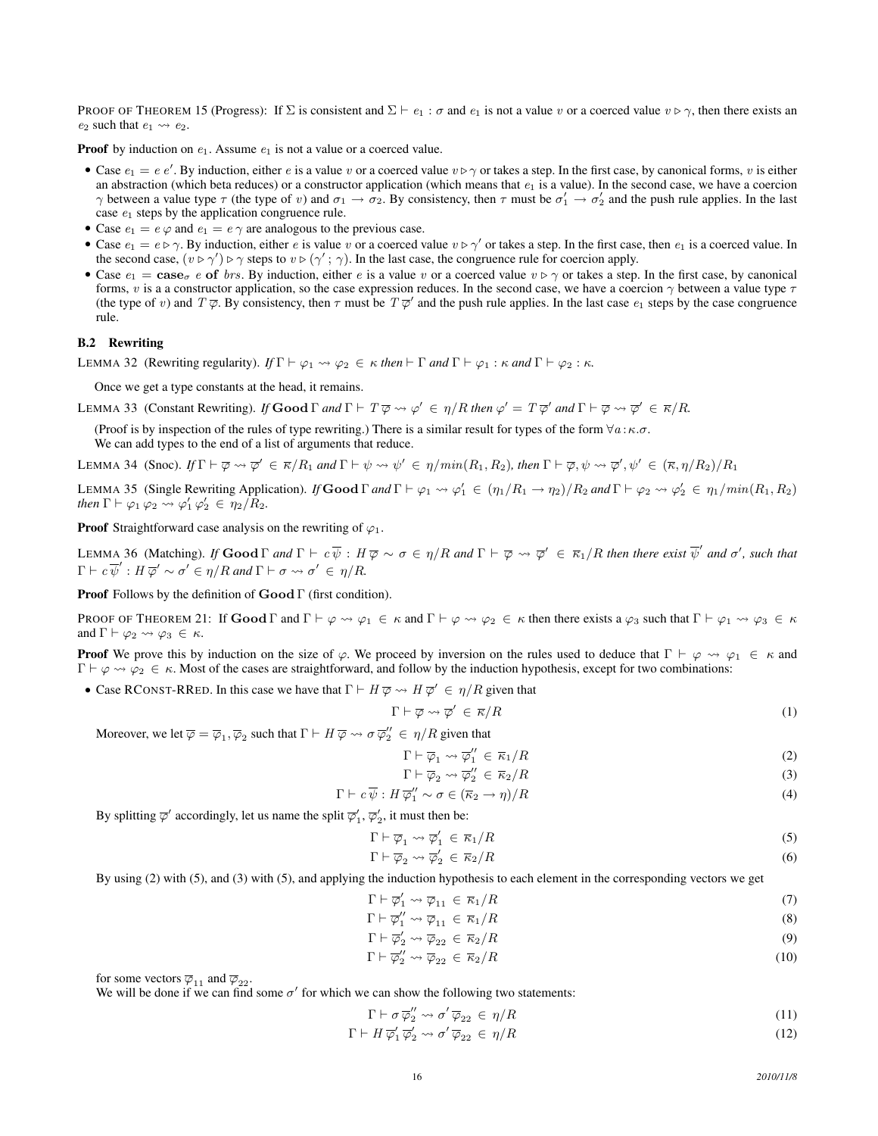PROOF OF THEOREM 15 (Progress): If  $\Sigma$  is consistent and  $\Sigma \vdash e_1 : \sigma$  and  $e_1$  is not a value v or a coerced value  $v \triangleright \gamma$ , then there exists an  $e_2$  such that  $e_1 \leadsto e_2$ .

**Proof** by induction on  $e_1$ . Assume  $e_1$  is not a value or a coerced value.

- Case  $e_1 = e e'$ . By induction, either e is a value v or a coerced value  $v \triangleright \gamma$  or takes a step. In the first case, by canonical forms, v is either an abstraction (which beta reduces) or a constructor application (which means that  $e_1$  is a value). In the second case, we have a coercion  $\gamma$  between a value type  $\tau$  (the type of v) and  $\sigma_1 \to \sigma_2$ . By consistency, then  $\tau$  must be  $\sigma'_1 \to \sigma'_2$  and the push rule applies. In the last case  $e_1$  steps by the application congruence rule.
- Case  $e_1 = e \varphi$  and  $e_1 = e \gamma$  are analogous to the previous case.
- Case  $e_1 = e \triangleright \gamma$ . By induction, either e is value v or a coerced value  $v \triangleright \gamma'$  or takes a step. In the first case, then  $e_1$  is a coerced value. In the second case,  $(v \triangleright \gamma') \triangleright \gamma$  steps to  $v \triangleright (\gamma'; \gamma)$ . In the last case, the congruence rule for coercion apply.
- Case  $e_1 = \csc \theta$  of brs. By induction, either e is a value v or a coerced value  $v \triangleright \gamma$  or takes a step. In the first case, by canonical forms, v is a a constructor application, so the case expression reduces. In the second case, we have a coercion  $\gamma$  between a value type  $\tau$ (the type of v) and  $T\overline{\varphi}$ . By consistency, then  $\tau$  must be  $T\overline{\varphi}'$  and the push rule applies. In the last case  $e_1$  steps by the case congruence rule.

#### B.2 Rewriting

LEMMA 32 (Rewriting regularity).  $If \Gamma \vdash \varphi_1 \leadsto \varphi_2 \in \kappa$  *then*  $\vdash \Gamma$  *and*  $\Gamma \vdash \varphi_1 : \kappa$  *and*  $\Gamma \vdash \varphi_2 : \kappa$ *.* 

Once we get a type constants at the head, it remains.

LEMMA 33 (Constant Rewriting). *If* Good  $\Gamma$  *and*  $\Gamma \vdash T \overline{\varphi} \leadsto \varphi' \in \eta/R$  *then*  $\varphi' = T \overline{\varphi}'$  *and*  $\Gamma \vdash \overline{\varphi} \leadsto \overline{\varphi}' \in \overline{\kappa}/R$ .

(Proof is by inspection of the rules of type rewriting.) There is a similar result for types of the form  $\forall a : \kappa.\sigma$ . We can add types to the end of a list of arguments that reduce.

LEMMA 34 (Snoc).  $\text{If } \Gamma \vdash \overline{\varphi} \leadsto \overline{\varphi}' \in \overline{\kappa}/R_1$  and  $\Gamma \vdash \psi \leadsto \psi' \in \eta/min(R_1, R_2)$ , then  $\Gamma \vdash \overline{\varphi}, \psi \leadsto \overline{\varphi}', \psi' \in (\overline{\kappa}, \eta/R_2)/R_1$ 

LEMMA 35 (Single Rewriting Application). *If* Good  $\Gamma$  and  $\Gamma \vdash \varphi_1 \leadsto \varphi_1' \in (\eta_1/R_1 \rightarrow \eta_2)/R_2$  and  $\Gamma \vdash \varphi_2 \leadsto \varphi_2' \in \eta_1/min(R_1, R_2)$ *then*  $\Gamma \vdash \varphi_1 \varphi_2 \leadsto \varphi_1' \varphi_2' \in \eta_2 / R_2$ .

**Proof** Straightforward case analysis on the rewriting of  $\varphi_1$ .

LEMMA 36 (Matching). If  $\mathbf{Good}\,\Gamma$  and  $\Gamma \vdash c\ \overline{\psi}$  :  $H\ \overline{\varphi} \sim \sigma \in \eta/R$  and  $\Gamma \vdash \overline{\varphi} \leadsto \overline{\varphi}' \in \overline{\kappa}_1/R$  then there exist  $\overline{\psi}'$  and  $\sigma'$ , such that  $\Gamma \vdash c \overline{\psi}' : H \overline{\varphi}' \sim \sigma' \in \eta/R$  and  $\Gamma \vdash \sigma \leadsto \sigma' \in \eta/R$ .

Proof Follows by the definition of Good Γ (first condition).

PROOF OF THEOREM 21: If  $\mathbf{Good}\Gamma$  and  $\Gamma \vdash \varphi \leadsto \varphi_1 \in \kappa$  and  $\Gamma \vdash \varphi \leadsto \varphi_2 \in \kappa$  then there exists a  $\varphi_3$  such that  $\Gamma \vdash \varphi_1 \leadsto \varphi_3 \in \kappa$ and  $\Gamma \vdash \varphi_2 \leadsto \varphi_3 \in \kappa$ .

**Proof** We prove this by induction on the size of  $\varphi$ . We proceed by inversion on the rules used to deduce that  $\Gamma \vdash \varphi \leadsto \varphi_1 \in \kappa$  and  $\Gamma \vdash \varphi \leadsto \varphi_2 \in \kappa$ . Most of the cases are straightforward, and follow by the induction hypothesis, except for two combinations:

• Case RCONST-RRED. In this case we have that  $\Gamma \vdash H \overline{\varphi} \leadsto H \overline{\varphi}' \in \eta/R$  given that

$$
\Gamma \vdash \overline{\varphi} \leadsto \overline{\varphi}' \in \overline{\kappa}/R \tag{1}
$$

Moreover, we let  $\overline{\varphi} = \overline{\varphi}_1, \overline{\varphi}_2$  such that  $\Gamma \vdash H \overline{\varphi} \leadsto \sigma \overline{\varphi}_2'' \in \eta/R$  given that

$$
\Gamma \vdash \overline{\varphi}_1 \leadsto \overline{\varphi}_1'' \in \overline{\kappa}_1/R \tag{2}
$$

$$
\Gamma \vdash \overline{\varphi}_2 \leadsto \overline{\varphi}_2'' \in \overline{\kappa}_2/R \tag{3}
$$

$$
\Gamma \vdash c\,\overline{\psi}: H\,\overline{\varphi_1}^{\prime\prime} \sim \sigma \in (\overline{\kappa}_2 \to \eta)/R \tag{4}
$$

By splitting  $\overline{\varphi}'$  accordingly, let us name the split  $\overline{\varphi}'_1, \overline{\varphi}'_2,$  it must then be:

$$
\Gamma \vdash \overline{\varphi}_1 \leadsto \overline{\varphi}_1' \in \overline{\kappa}_1 / R \tag{5}
$$

$$
\Gamma \vdash \overline{\varphi}_2 \leadsto \overline{\varphi}'_2 \in \overline{\kappa}_2 / R \tag{6}
$$

By using (2) with (5), and (3) with (5), and applying the induction hypothesis to each element in the corresponding vectors we get

$$
\Gamma \vdash \overline{\varphi}'_1 \leadsto \overline{\varphi}_{11} \in \overline{\kappa}_1 / R \tag{7}
$$

$$
\Gamma \vdash \overline{\varphi}_1'' \leadsto \overline{\varphi}_{11} \in \overline{\kappa}_1/R \tag{8}
$$

- $\Gamma \vdash \overline{\varphi}_2' \leadsto \overline{\varphi}_{22} \in \overline{\kappa}_2/R$  (9)
- $\Gamma \vdash \overline{\varphi}_2'' \leadsto \overline{\varphi}_{22} \in \overline{\kappa}_2/R$  (10)

for some vectors  $\overline{\varphi}_{11}$  and  $\overline{\varphi}_{22}$ .

We will be done if we can find some  $\sigma'$  for which we can show the following two statements:

$$
\Gamma \vdash \sigma \overline{\varphi}_2'' \leadsto \sigma' \overline{\varphi}_{22} \in \eta/R \tag{11}
$$

 $\Gamma \vdash H \overline{\varphi}'_1 \overline{\varphi}'_2 \leadsto \sigma' \overline{\varphi}_{22} \in \eta/R$ (12)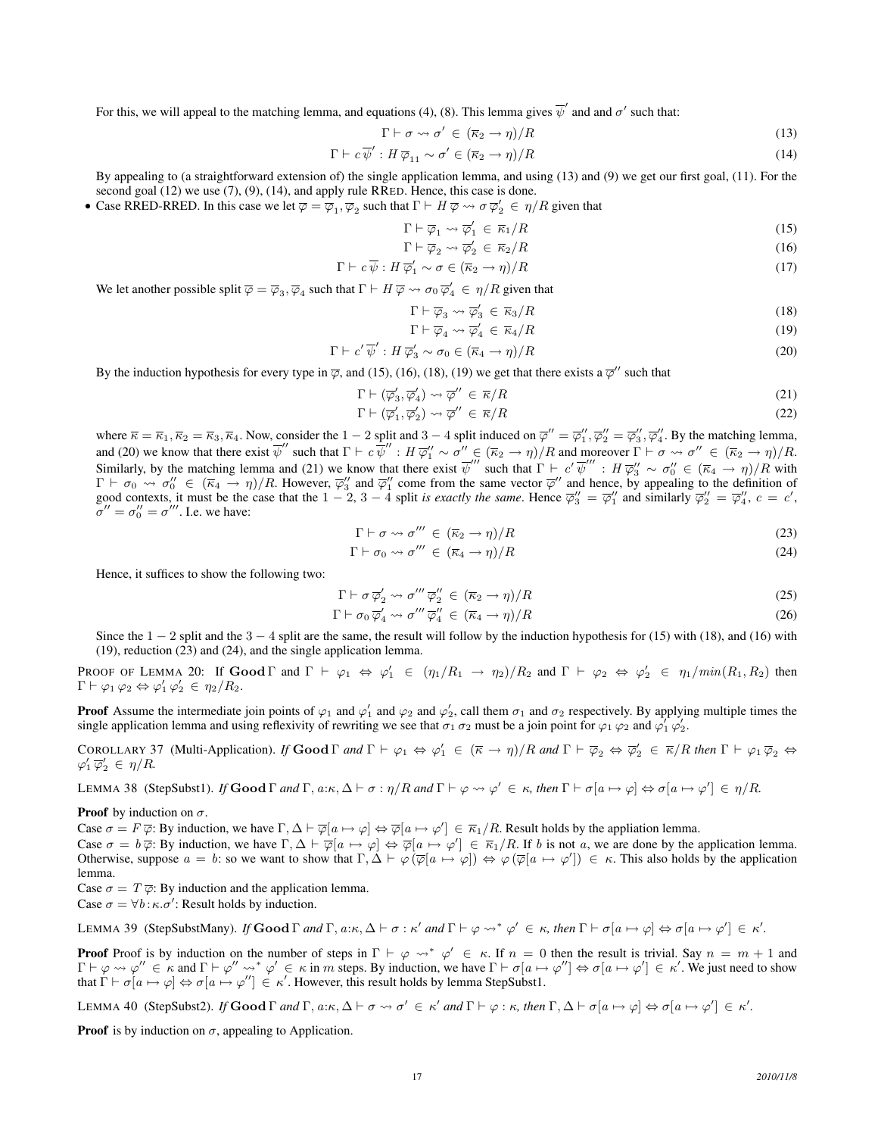For this, we will appeal to the matching lemma, and equations (4), (8). This lemma gives  $\overline{\psi}'$  and and  $\sigma'$  such that:

$$
\Gamma \vdash \sigma \leadsto \sigma' \in (\overline{\kappa}_2 \to \eta)/R \tag{13}
$$

$$
\Gamma \vdash c\,\overline{\psi}' : H\,\overline{\varphi}_{11} \sim \sigma' \in (\overline{\kappa}_2 \to \eta)/R \tag{14}
$$

By appealing to (a straightforward extension of) the single application lemma, and using (13) and (9) we get our first goal, (11). For the second goal (12) we use (7), (9), (14), and apply rule RRED. Hence, this case is done.

• Case RRED-RRED. In this case we let  $\overline{\varphi} = \overline{\varphi}_1, \overline{\varphi}_2$  such that  $\Gamma \vdash H \overline{\varphi} \leadsto \sigma \overline{\varphi}_2' \in \eta/R$  given that

$$
\Gamma \vdash \overline{\varphi}_1 \leadsto \overline{\varphi}_1' \in \overline{\kappa}_1 / R \tag{15}
$$

$$
\Gamma \vdash \overline{\varphi}_2 \leadsto \overline{\varphi}'_2 \in \overline{\kappa}_2 / R \tag{16}
$$

$$
\Gamma \vdash c\,\overline{\psi}: H\,\overline{\varphi}'_1 \sim \sigma \in (\overline{\kappa}_2 \to \eta)/R \tag{17}
$$

We let another possible split  $\overline{\varphi} = \overline{\varphi}_3$ ,  $\overline{\varphi}_4$  such that  $\Gamma \vdash H \overline{\varphi} \leadsto \sigma_0 \overline{\varphi}'_4 \in \eta/R$  given that

$$
\Gamma \vdash \overline{\varphi}_3 \leadsto \overline{\varphi}'_3 \in \overline{\kappa}_3 / R \tag{18}
$$

$$
\Gamma \vdash \overline{\varphi}_4 \leadsto \overline{\varphi}'_4 \in \overline{\kappa}_4 / R \tag{19}
$$

$$
\Gamma \vdash c' \overline{\psi}' : H \overline{\varphi}'_3 \sim \sigma_0 \in (\overline{\kappa}_4 \to \eta)/R \tag{20}
$$

By the induction hypothesis for every type in  $\overline{\varphi}$ , and (15), (16), (18), (19) we get that there exists a  $\overline{\varphi}$ " such that

$$
\Gamma \vdash (\overline{\varphi}'_3, \overline{\varphi}'_4) \leadsto \overline{\varphi}'' \in \overline{\kappa}/R \tag{21}
$$

$$
\Gamma \vdash (\overline{\varphi}'_1, \overline{\varphi}'_2) \leadsto \overline{\varphi}'' \in \overline{\kappa}/R \tag{22}
$$

where  $\overline{\kappa} = \overline{\kappa}_1, \overline{\kappa}_2 = \overline{\kappa}_3, \overline{\kappa}_4$ . Now, consider the 1 – 2 split and 3 – 4 split induced on  $\overline{\varphi}'' = \overline{\varphi}_1'', \overline{\varphi}_2'' = \overline{\varphi}_3'', \overline{\varphi}_4''$ . By the matching lemma, and (20) we know that there exist  $\overline{\psi}''$  such that  $\Gamma \vdash c \overline{\psi}'' : H \overline{\varphi}''_1 \sim \sigma'' \in (\overline{\kappa}_2 \to \eta)/R$  and moreover  $\Gamma \vdash \sigma \leadsto \sigma'' \in (\overline{\kappa}_2 \to \eta)/R$ . Similarly, by the matching lemma and (21) we know that there exist  $\overline{\psi}^{\prime\prime\prime}$  such that  $\Gamma \vdash c' \overline{\psi}^{\prime\prime\prime} : H \overline{\varphi}^{\prime\prime}_3 \sim \sigma_0^{\prime\prime} \in (\overline{\kappa}_4 \rightarrow \eta)/R$  with  $\Gamma \vdash \sigma_0 \leadsto \sigma_0'' \in (\overline{\kappa}_4 \to \eta)/R$ . However,  $\overline{\varphi}_3''$  and  $\overline{\varphi}_1''$  come from the same vector  $\overline{\varphi}''$  and hence, by appealing to the definition of good contexts, it must be the case that the  $1-2$ ,  $3-4$  split *is exactly the same*. Hence  $\overline{\varphi}_3^{\prime\prime} = \overline{\varphi}_1^{\prime\prime}$  and similarly  $\overline{\varphi}_2^{\prime\prime} = \overline{\varphi}_4^{\prime\prime}$ ,  $c = c$ ,  $\sigma'' = \sigma_0'' = \sigma'''$ . I.e. we have:

$$
\Gamma \vdash \sigma \leadsto \sigma''' \in (\overline{\kappa}_2 \to \eta)/R \tag{23}
$$

$$
\Gamma \vdash \sigma_0 \leadsto \sigma''' \in (\overline{\kappa}_4 \to \eta)/R \tag{24}
$$

Hence, it suffices to show the following two:

$$
\Gamma \vdash \sigma \overline{\varphi}'_2 \leadsto \sigma''' \overline{\varphi}''_2 \in (\overline{\kappa}_2 \to \eta)/R \tag{25}
$$

$$
\Gamma \vdash \sigma_0 \,\overline{\varphi}'_4 \leadsto \sigma''' \,\overline{\varphi}''_4 \in (\overline{\kappa}_4 \to \eta)/R \tag{26}
$$

Since the  $1 - 2$  split and the  $3 - 4$  split are the same, the result will follow by the induction hypothesis for (15) with (18), and (16) with (19), reduction (23) and (24), and the single application lemma.

PROOF OF LEMMA 20: If  $\mathbf{Good}\,\Gamma$  and  $\Gamma \vdash \varphi_1 \Leftrightarrow \varphi_1' \in (\eta_1/R_1 \rightarrow \eta_2)/R_2$  and  $\Gamma \vdash \varphi_2 \Leftrightarrow \varphi_2' \in \eta_1/min(R_1, R_2)$  then  $\Gamma \vdash \varphi_1 \varphi_2 \Leftrightarrow \varphi_1' \varphi_2' \in \eta_2/R_2.$ 

**Proof** Assume the intermediate join points of  $\varphi_1$  and  $\varphi'_1$  and  $\varphi_2$  and  $\varphi'_2$ , call them  $\sigma_1$  and  $\sigma_2$  respectively. By applying multiple times the single application lemma and using reflexivity of rewriting we see that  $\sigma_1 \sigma_2$  must be a join point for  $\varphi_1 \varphi_2$  and  $\varphi_1' \varphi_2'$ .

COROLLARY 37 (Multi-Application). *If*  $\text{Good } \Gamma$  *and*  $\Gamma \vdash \varphi_1 \Leftrightarrow \varphi'_1 \in (\overline{\kappa} \to \eta)/R$  *and*  $\Gamma \vdash \overline{\varphi}_2 \Leftrightarrow \overline{\varphi}'_2 \in \overline{\kappa}/R$  *then*  $\Gamma \vdash \varphi_1 \overline{\varphi}_2 \Leftrightarrow \varphi'_2 \in \overline{\kappa}/R$  $\varphi_1' \overline{\varphi}_2' \in \eta/R.$ 

LEMMA 38 (StepSubst1). *If* Good  $\Gamma$  and  $\Gamma$ , a: $\kappa$ ,  $\Delta \vdash \sigma : \eta/R$  and  $\Gamma \vdash \varphi \leadsto \varphi' \in \kappa$ , then  $\Gamma \vdash \sigma[a \mapsto \varphi] \Leftrightarrow \sigma[a \mapsto \varphi'] \in \eta/R$ .

**Proof** by induction on  $\sigma$ .

Case  $\sigma = F \overline{\varphi}$ : By induction, we have  $\Gamma, \Delta \vdash \overline{\varphi}[a \mapsto \varphi] \Leftrightarrow \overline{\varphi}[a \mapsto \varphi'] \in \overline{\kappa}_1/R$ . Result holds by the appliation lemma.

Case  $\sigma = b \overline{\varphi}$ : By induction, we have  $\Gamma, \Delta \vdash \overline{\varphi}[a \mapsto \varphi] \Leftrightarrow \overline{\varphi}[a \mapsto \varphi'] \in \overline{\kappa}_1/R$ . If b is not a, we are done by the application lemma. Otherwise, suppose  $a = b$ : so we want to show that  $\Gamma, \Delta \vdash \varphi(\overline{\varphi}[a \mapsto \varphi]) \Leftrightarrow \varphi(\overline{\varphi}[a \mapsto \varphi']) \in \kappa$ . This also holds by the application lemma.

Case  $\sigma = T \overline{\varphi}$ : By induction and the application lemma.

Case  $\sigma = \forall b : \kappa.\sigma'$ : Result holds by induction.

LEMMA 39 (StepSubstMany). *If* Good Γ and Γ, a:κ,  $\Delta \vdash \sigma : \kappa'$  and  $\Gamma \vdash \varphi \leadsto^* \varphi' \in \kappa$ , then  $\Gamma \vdash \sigma[a \mapsto \varphi] \Leftrightarrow \sigma[a \mapsto \varphi'] \in \kappa'.$ 

**Proof** Proof is by induction on the number of steps in  $\Gamma \vdash \varphi \leadsto^* \varphi' \in \kappa$ . If  $n = 0$  then the result is trivial. Say  $n = m + 1$  and  $\Gamma \vdash \varphi \leadsto \varphi'' \in \kappa$  and  $\Gamma \vdash \varphi'' \leadsto^* \varphi' \in \kappa$  in m steps. By induction, we have  $\Gamma \vdash \sigma[a \mapsto \varphi''] \Leftrightarrow \sigma[a \mapsto \varphi'] \in \kappa'$ . We just need to show that  $\Gamma \vdash \sigma [a \mapsto \varphi] \Leftrightarrow \sigma [a \mapsto \varphi''] \in \kappa'$ . However, this result holds by lemma StepSubst1.

LEMMA 40 (StepSubst2). *If* Good  $\Gamma$  and  $\Gamma$ ,  $a:\kappa, \Delta \vdash \sigma \leadsto \sigma' \in \kappa'$  and  $\Gamma \vdash \varphi : \kappa$ , then  $\Gamma$ ,  $\Delta \vdash \sigma[a \mapsto \varphi] \Leftrightarrow \sigma[a \mapsto \varphi'] \in \kappa'.$ 

**Proof** is by induction on  $\sigma$ , appealing to Application.